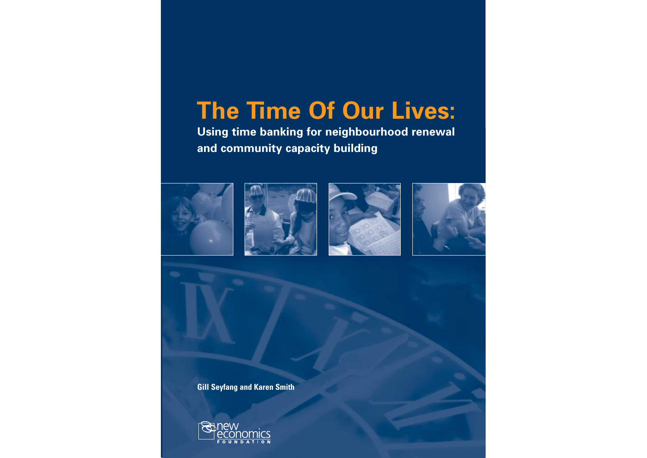# **The Time Of Our Lives:**

**Using time banking for neighbourhood renewal and community capacity building**









**Gill Seyfang and Karen Smith**

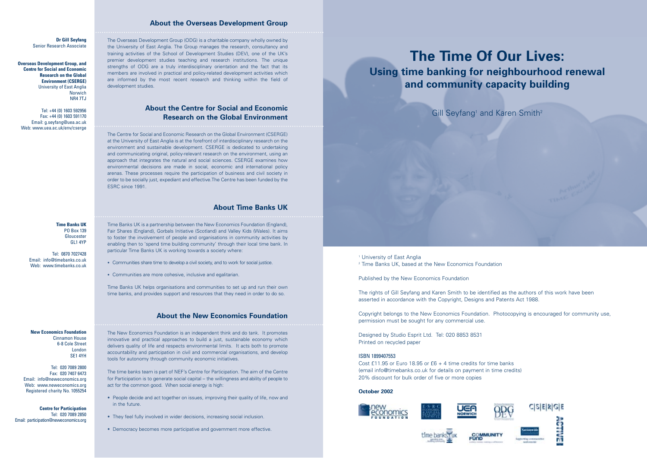# **The Time Of Our Lives: Using time banking for neighbourhood renewal and community capacity building**

Gill Seyfang<sup>1</sup> and Karen Smith<sup>2</sup>



<sup>2</sup> Time Banks UK, based at the New Economics Foundation

Published by the New Economics Foundation

The rights of Gill Seyfang and Karen Smith to be identified as the authors of this work have been asserted in accordance with the Copyright, Designs and Patents Act 1988.

Copyright belongs to the New Economics Foundation. Photocopying is encouraged for community use, permission must be sought for any commercial use.

Designed by Studio Esprit Ltd. Tel: 020 8853 8531 Printed on recycled paper

## ISBN 1899407553

Cost £11.95 or Euro 18.95 or £6 + 4 time credits for time banks (email info@timebanks.co.uk for details on payment in time credits) 20% discount for bulk order of five or more copies

## **October 2002**









## **About the Overseas Development Group**

The Overseas Development Group (ODG) is a charitable company wholly owned by the University of East Anglia. The Group manages the research, consultancy and training activities of the School of Development Studies (DEV), one of the UK's premier development studies teaching and research institutions. The unique strengths of ODG are a truly interdisciplinary orientation and the fact that its members are involved in practical and policy-related development activities which are informed by the most recent research and thinking within the field of development studies.

## **About the Centre for Social and Economic Research on the Global Environment**

The Centre for Social and Economic Research on the Global Environment (CSERGE) at the University of East Anglia is at the forefront of interdisciplinary research on the environment and sustainable development. CSERGE is dedicated to undertaking and communicating original, policy-relevant research on the environment, using an approach that integrates the natural and social sciences. CSERGE examines how environmental decisions are made in social, economic and international policy arenas. These processes require the participation of business and civil society in order to be socially just, expediant and effective.The Centre has been funded by the ESRC since 1991.

**Overseas Development Group, and Centre for Social and Economic Research on the Global Environment (CSERGE)** University of East Anglia Norwich **NR4 7TJ** 

## **About Time Banks UK**

Time Banks UK is a partnership between the New Economics Foundation (England), Fair Shares (England), Gorbals Initiative (Scotland) and Valley Kids (Wales). It aims to foster the involvement of people and organisations in community activities by enabling then to 'spend time building community' through their local time bank. In particular Time Banks UK is working towards a society where:

- Communities share time to develop a civil society, and to work for social justice.
- Communities are more cohesive, inclusive and egalitarian.

Time Banks UK helps organisations and communities to set up and run their own time banks, and provides support and resources that they need in order to do so.

## **About the New Economics Foundation**

The New Economics Foundation is an independent think and do tank. It promotes innovative and practical approaches to build a just, sustainable economy which delivers quality of life and respects environmental limits. It acts both to promote accountability and participation in civil and commercial organisations, and develop tools for autonomy through community economic initiatives.

The time banks team is part of NEF's Centre for Participation. The aim of the Centre for Participation is to generate social capital – the willingness and ability of people to act for the common good. When social energy is high:

- People decide and act together on issues, improving their quality of life, now and in the future.
- They feel fully involved in wider decisions, increasing social inclusion.
- Democracy becomes more participative and government more effective.

**Dr Gill Seyfang**  Senior Research Associate

Tel: +44 (0) 1603 592956 Fax: +44 (0) 1603 591170 Email: g.seyfang@uea.ac.uk Web: www.uea.ac.uk/env/cserge

### **Time Banks UK** PO Box 139 Gloucester GL1 4YP

Tel: 0870 7027428 Email: info@timebanks.co.uk Web: www.timebanks.co.uk

**New Economics Foundation** Cinnamon House 6-8 Cole Street London SE1 4YH

Tel: 020 7089 2800 Fax: 020 7407 6473 Email: info@neweconomics.org Web: www.neweconomics.org Registered charity No. 1055254

**Centre for Participation**  Tel: 020 7089 2850 Email: participation@neweconomics.org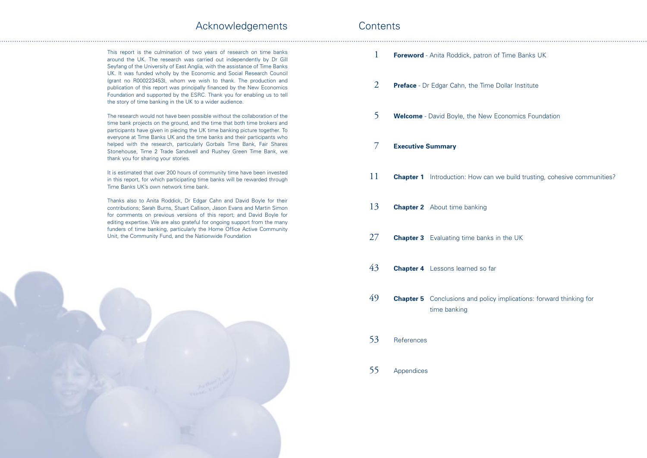| This report is the culmination of two years of research on time banks<br>around the UK. The research was carried out independently by Dr Gill<br>Seyfang of the University of East Anglia, with the assistance of Time Banks                                                                                                                                |    | <b>Foreword</b> - Anita Roddick, patro              |
|-------------------------------------------------------------------------------------------------------------------------------------------------------------------------------------------------------------------------------------------------------------------------------------------------------------------------------------------------------------|----|-----------------------------------------------------|
| UK. It was funded wholly by the Economic and Social Research Council<br>(grant no R000223453), whom we wish to thank. The production and<br>publication of this report was principally financed by the New Economics<br>Foundation and supported by the ESRC. Thank you for enabling us to tell<br>the story of time banking in the UK to a wider audience. | 2  | <b>Preface</b> - Dr Edgar Cahn, the Tir             |
| The research would not have been possible without the collaboration of the<br>time bank projects on the ground, and the time that both time brokers and<br>participants have given in piecing the UK time banking picture together. To<br>everyone at Time Banks UK and the time banks and their participants who                                           | 5  | <b>Welcome</b> - David Boyle, the Ne                |
| helped with the research, particularly Gorbals Time Bank, Fair Shares<br>Stonehouse, Time 2 Trade Sandwell and Rushey Green Time Bank, we<br>thank you for sharing your stories.                                                                                                                                                                            |    | <b>Executive Summary</b>                            |
| It is estimated that over 200 hours of community time have been invested<br>in this report, for which participating time banks will be rewarded through<br>Time Banks UK's own network time bank.                                                                                                                                                           | 11 | Introduction: How c<br><b>Chapter 1</b>             |
| Thanks also to Anita Roddick, Dr Edgar Cahn and David Boyle for their<br>contributions; Sarah Burns, Stuart Callison, Jason Evans and Martin Simon<br>for comments on previous versions of this report; and David Boyle for<br>editing expertise. We are also grateful for ongoing support from the many                                                    | 13 | <b>Chapter 2</b> About time banking                 |
| funders of time banking, particularly the Home Office Active Community<br>Unit, the Community Fund, and the Nationwide Foundation                                                                                                                                                                                                                           | 27 | <b>Chapter 3</b> Evaluating time ban                |
|                                                                                                                                                                                                                                                                                                                                                             | 43 | <b>Chapter 4</b> Lessons learned so                 |
|                                                                                                                                                                                                                                                                                                                                                             | 49 | <b>Chapter 5</b> Conclusions and po<br>time banking |
|                                                                                                                                                                                                                                                                                                                                                             | 53 | References                                          |
|                                                                                                                                                                                                                                                                                                                                                             | 55 | Appendices                                          |
|                                                                                                                                                                                                                                                                                                                                                             |    |                                                     |
|                                                                                                                                                                                                                                                                                                                                                             |    |                                                     |

**Portal of Time Banks UK** 

**Time Dollar Institute** 

**New Economics Foundation** 

<sub>11</sub> N<sub>ow</sub> can we build trusting, cohesive communities?

banks in the UK

**So far** 

policy implications: forward thinking for

# Acknowledgements

## **Contents**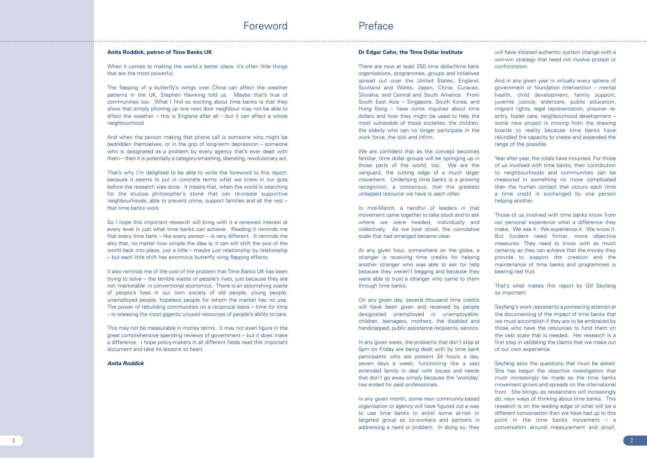## **Dr Edgar Cahn, the Time Dollar Institute**

There are now at least 250 time dollar/time bank organisations, programmes, groups and initiatives spread out over the United States, England, Scotland and Wales, Japan, China, Curacao, Slovakia, and Central and South America. From South East Asia – Singapore, South Korea, and Hong Kong – have come inquiries about time dollars and how they might be used to help the most vulnerable of those societies: the children, the elderly who can no longer participate in the work force, the sick and infirm.

We are confident that as the concept becomes familiar, time dollar groups will be springing up in those parts of the world, too. We are the vanguard, the cutting edge of a much larger movement. Underlying time banks is a growing recognition, a consensus, that the greatest untapped resource we have is *each other.* 

In mid-March, a handful of leaders in that movement came together to take stock and to ask where we were headed, individually and collectively. As we took stock, the cumulative scale that had emerged became clear.

At any given hour, somewhere on the globe, a stranger is receiving time credits for helping another stranger who was able to ask for help because they weren't begging and because they were able to trust a stranger who came to them through time banks.

On any given day, several thousand time credits will have been given and received by people designated unemployed or unemployable: children, teenagers, mothers, the disabled and handicapped, public assistance recipients, seniors.

In any given week, the problems that don't stop at 5pm on Friday are being dealt with by time bank participants who are present 24 hours a day, seven days a week, functioning like a vast extended family to deal with issues and needs that don't go away simply because the 'workday' has ended for paid professionals.

In any given month, some new community-based organisation or agency will have figured out a way to use time banks to enlist some at-risk or targeted group as co-workers and partners in addressing a need or problem. In doing so, they

When it comes to making the world a better place, it's often little things that are the most powerful.

will have initiated authentic system change with a win-win strategy that need not involve protest or confrontation.

And in any given year in virtually every sphere of government or foundation intervention – mental health, child development, family support, juvenile justice, eldercare, public education, migrant rights, legal representation, prisoner reentry, foster care, neighbourhood development – some new project is moving from the drawing boards to reality because time banks have rekindled the capacity to create and expanded the range of the possible.

Year after year, the totals have mounted. For those of us involved with time banks, their contribution to neighbourhoods and communities can be measured in something no more complicated than the human contact that occurs each time a time credit is exchanged by one person helping another.

It also reminds me of the cost of the problem that Time Banks UK has been trying to solve – the terrible waste of people's lives, just because they are not 'marketable' in conventional economics. There is an astonishing waste of people's lives in our own society of old people, young people, unemployed people, hopeless people for whom the market has no use. The power of rebuilding communities on a reciprocal basis – time for time – is releasing the most gigantic unused resources of people's ability to care.

Those of us involved with time banks know from our personal experience what a difference they make. We see it. We experience it. We know it. But funders need firmer, more objective measures. They need to know with as much certainty as they can achieve that the money they provide to support the creation and the maintenance of time banks and programmes is bearing real fruit.

That's what makes this report by Gill Seyfang so important.

Seyfang's work represents a pioneering attempt at the documenting of the impact of time banks that we must accomplish if they are to be embraced by those who have the resources to fund them on the vast scale that is needed. Her research is a first step in validating the claims that we make out of our own experience.

Seyfang asks the questions that must be asked. She has begun the objective investigation that must increasingly be made as the time banks movement grows and spreads on the international front. She brings, as researchers will increasingly do, new ways of thinking about time banks. This research is on the leading edge of what will be a different conversation than we have had up to this point in the time banks movement – a conversation around measurement and proof,

### **Anita Roddick, patron of Time Banks UK**

The flapping of a butterfly's wings over China can affect the weather patterns in the UK, Stephen Hawking told us. Maybe that's true of communities too. What I find so exciting about time banks is that they show that simply phoning up one next door neighbour may not be able to affect the weather – this is England after all – but it can affect a whole neighbourhood.

And when the person making that phone call is someone who might be bedridden themselves, or in the grip of long-term depression – someone who is designated as a problem by every agency that's ever dealt with them – then it is potentially a category-smashing, liberating, revolutionary act.

That's why I'm delighted to be able to write the foreword to this report: because it seems to put in concrete terms what we knew in our guts before the research was done. It means that, when the world is searching for the elusive philosopher's stone that can re-create supportive neighbourhoods, able to prevent crime, support families and all the rest – that time banks work.

So I hope this important research will bring with it a renewed interest at every level in just what time banks can achieve. Reading it reminds me that every time bank – like every person – is very different. It reminds me also that, no matter how simple the idea is, it can still shift the axis of the world back into place, just a little – maybe just relationship by relationship – but each little shift has enormous butterfly wing flapping effects.

This may not be measurable in money terms. It may not even figure in the great comprehensive spending reviews of government – but it does make a difference. I hope policy-makers in all different fields read this important document and take its lessons to heart.

## *Anita Roddick*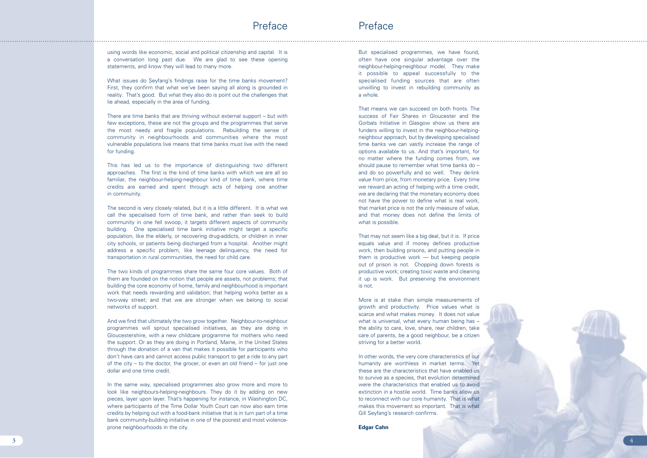But specialised programmes, we have found, often have one singular advantage over the neighbour-helping-neighbour model. They make it possible to appeal successfully to the specialised funding sources that are often unwilling to invest in rebuilding community as a whole.

That means we can succeed on both fronts. The success of Fair Shares in Gloucester and the Gorbals Initiative in Glasgow show us there are funders willing to invest in the neighbour-helpingneighbour approach, but by developing specialised time banks we can vastly increase the range of options available to us. And that's important, for no matter where the funding comes from, we should pause to remember what time banks do – and do so powerfully and so well. They de-link value from price, from monetary price. Every time we reward an acting of helping with a time credit, we are declaring that the monetary economy does not have the power to define what is real work, that market price is not the only measure of value, and that money does not define the limits of what is possible.

That may not seem like a big deal, but it is. If price equals value and if money defines productive work, then building prisons, and putting people in them is productive work — but keeping people out of prison is not. Chopping down forests is productive work; creating toxic waste and cleaning it up is work. But preserving the environment is not.

More is at stake than simple measurements of growth and productivity. Price values what is scarce and what makes money. It does not value what is universal, what every human being has – the ability to care, love, share, rear children, take care of parents, be a good neighbour, be a citizen striving for a better world.

In other words, the very core characteristics of our humanity are worthless in market terms. Yet these are the characteristics that have enabled us to survive as a species, that evolution determined were the characteristics that enabled us to avoid extinction in a hostile world. Time banks allow us to reconnect with our core humanity. That is what makes this movement so important. That is what Gill Seyfang's research confirms.

**Edgar Cahn**



using words like economic, social and political citizenship and capital. It is a conversation long past due. We are glad to see these opening statements, and know they will lead to many more.

What issues do Seyfang's findings raise for the time banks movement? First, they confirm that what we've been saying all along is grounded in reality. That's good. But what they also do is point out the challenges that lie ahead, especially in the area of funding.

There are time banks that are thriving without external support – but with few exceptions, these are not the groups and the programmes that serve the most needy and fragile populations. Rebuilding the sense of community in neighbourhoods and communities where the most vulnerable populations live means that time banks must live with the need for funding.

This has led us to the importance of distinguishing two different approaches. The first is the kind of time banks with which we are all so familiar, the neighbour-helping-neighbour kind of time bank, where time credits are earned and spent through acts of helping one another in community.

The second is very closely related, but it is a little different. It is what we call the specialised form of time bank, and rather than seek to build community in one fell swoop, it targets different aspects of community building. One specialised time bank initiative might target a specific population, like the elderly, or recovering drug-addicts, or children in inner city schools, or patients being discharged from a hospital. Another might address a specific problem, like teenage delinquency, the need for transportation in rural communities, the need for child care.

The two kinds of programmes share the same four core values. Both of them are founded on the notion that people are assets, not problems; that building the core economy of home, family and neighbourhood is important work that needs rewarding and validation; that helping works better as a two-way street; and that we are stronger when we belong to social networks of support.

And we find that ultimately the two grow together. Neighbour-to-neighbour programmes will sprout specialised initiatives, as they are doing in Gloucestershire, with a new childcare programme for mothers who need the support. Or as they are doing in Portland, Maine, in the United States through the donation of a van that makes it possible for participants who don't have cars and cannot access public transport to get a ride to any part of the city – to the doctor, the grocer, or even an old friend – for just one dollar and one time credit.

In the same way, specialised programmes also grow more and more to look like neighbours-helping-neighbours. They do it by adding on new pieces, layer upon layer. That's happening for instance, in Washington DC, where participants of the Time Dollar Youth Court can now also earn time credits by helping out with a food-bank initiative that is in turn part of a time bank community-building initiative in one of the poorest and most violenceprone neighbourhoods in the city.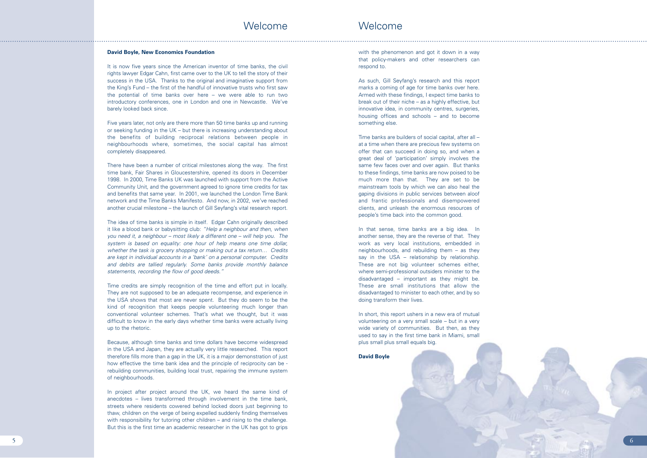As such, Gill Seyfang's research and this report marks a coming of age for time banks over here. Armed with these findings, I expect time banks to break out of their niche – as a highly effective, but innovative idea, in community centres, surgeries, housing offices and schools – and to become something else.<br>Time banks are builders of social capital, after all –

with the phenomenon and got it down in a way that policy-makers and other researchers can respond to.

at a time when there are precious few systems on offer that can succeed in doing so, and when a great deal of 'participation' simply involves the same few faces over and over again. But thanks to these findings, time banks are now poised to be much more than that. They are set to be mainstream tools by which we can also heal the gaping divisions in public services between aloof and frantic professionals and disempowered clients, and unleash the enormous resources of people's time back into the common good. Welcome<br>
with the phenome<br>
that policy-maker<br>
respond to.<br>
As such, Gill Sey<br>
marks a coming o<br>
Armed with these<br>
break out of their i<br>
innovative idea, in<br>
housing offices a<br>
something else.<br>
Time banks are bu<br>
at a time

In that sense, time banks are a big idea. In another sense, they are the reverse of that. They work as very local institutions, embedded in neighbourhoods, and rebuilding them – as they say in the USA – relationship by relationship. These are not big volunteer schemes either, where semi-professional outsiders minister to the disadvantaged – important as they might be. These are small institutions that allow the disadvantaged to minister to each other, and by so doing transform their lives.

It is now five years since the American inventor of time banks, the civil rights lawyer Edgar Cahn, first came over to the UK to tell the story of their success in the USA. Thanks to the original and imaginative support from the King's Fund – the first of the handful of innovative trusts who first saw the potential of time banks over here – we were able to run two introductory conferences, one in London and one in Newcastle. We've barely looked back since.

The idea of time banks is simple in itself. Edgar Cahn originally described it like a blood bank or babysitting club: *"Help a neighbour and then, when you need it, a neighbour – most likely a different one – will help you. The system is based on equality: one hour of help means one time dollar, whether the task is grocery shopping or making out a tax return… Credits are kept in individual accounts in a 'bank' on a personal computer. Credits and debits are tallied regularly. Some banks provide monthly balance statements, recording the flow of good deeds."* Welcome<br>
Bavid Boyte, New Economies Foundation<br>
It is now five years since the American inventor of time banks, the civil<br>dights lavyer Edgar Cahn, first came over to the LK ho tell the story of their<br>dights lavyer Edgar

In short, this report ushers in a new era of mutual volunteering on a very small scale – but in a very wide variety of communities. But then, as they used to say in the first time bank in Miami, small plus small plus small equals big.

## **David Boyle**



## **David Boyle, New Economics Foundation**

In project after project around the UK, we heard the same kind of anecdotes – lives transformed through involvement in the time bank, streets where residents cowered behind locked doors just beginning to thaw, children on the verge of being expelled suddenly finding themselves with responsibility for tutoring other children – and rising to the challenge.

Five years later, not only are there more than 50 time banks up and running or seeking funding in the UK – but there is increasing understanding about the benefits of building reciprocal relations between people in neighbourhoods where, sometimes, the social capital has almost completely disappeared.

There have been a number of critical milestones along the way. The first time bank, Fair Shares in Gloucestershire, opened its doors in December 1998. In 2000, Time Banks UK was launched with support from the Active Community Unit, and the government agreed to ignore time credits for tax and benefits that same year. In 2001, we launched the London Time Bank network and the Time Banks Manifesto. And now, in 2002, we've reached another crucial milestone – the launch of Gill Seyfang's vital research report.

Time credits are simply recognition of the time and effort put in locally. They are not supposed to be an adequate recompense, and experience in the USA shows that most are never spent. But they do seem to be the kind of recognition that keeps people volunteering much longer than conventional volunteer schemes. That's what we thought, but it was difficult to know in the early days whether time banks were actually living up to the rhetoric.

Because, although time banks and time dollars have become widespread in the USA and Japan, they are actually very little researched. This report therefore fills more than a gap in the UK, it is a major demonstration of just how effective the time bank idea and the principle of reciprocity can be rebuilding communities, building local trust, repairing the immune system of neighbourhoods.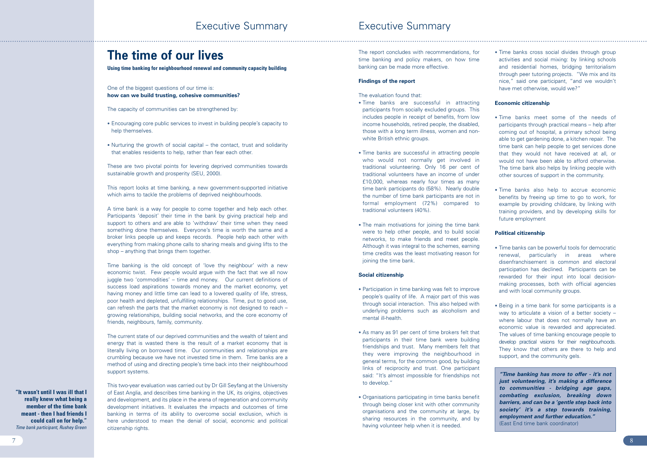# **The time of our lives**

**Using time banking for neighbourhood renewal and community capacity building**

## One of the biggest questions of our time is: **how can we build trusting, cohesive communities?**

The capacity of communities can be strengthened by:

- Encouraging core public services to invest in building people's capacity to help themselves.
- Nurturing the growth of social capital the contact, trust and solidarity that enables residents to help, rather than fear each other.

These are two pivotal points for levering deprived communities towards sustainable growth and prosperity (SEU, 2000).

This report looks at time banking, a new government-supported initiative which aims to tackle the problems of deprived neighbourhoods.

A time bank is a way for people to come together and help each other. Participants 'deposit' their time in the bank by giving practical help and support to others and are able to 'withdraw' their time when they need something done themselves. Everyone's time is worth the same and a broker links people up and keeps records. People help each other with everything from making phone calls to sharing meals and giving lifts to the shop – anything that brings them together.

Time banking is the old concept of 'love thy neighbour' with a new economic twist. Few people would argue with the fact that we all now juggle two 'commodities' – time and money. Our current definitions of success load aspirations towards money and the market economy, yet having money and little time can lead to a lowered quality of life, stress, poor health and depleted, unfulfilling relationships. Time, put to good use, can refresh the parts that the market economy is not designed to reach – growing relationships, building social networks, and the core economy of friends, neighbours, family, community.

The current state of our deprived communities and the wealth of talent and energy that is wasted there is the result of a market economy that is literally living on borrowed time. Our communities and relationships are crumbling because we have not invested time in them. Time banks are a method of using and directing people's time back into their neighbourhood support systems.

This two-year evaluation was carried out by Dr Gill Seyfang at the University of East Anglia, and describes time banking in the UK, its origins, objectives and development, and its place in the arena of regeneration and community development initiatives. It evaluates the impacts and outcomes of time banking in terms of its ability to overcome social exclusion, which is here understood to mean the denial of social, economic and political citizenship rights.

The report concludes with recommendations, for time banking and policy makers, on how time banking can be made more effective.

## **Findings of the report**

The evaluation found that:

- Time banks are successful in attracting participants from socially excluded groups. This includes people in receipt of benefits, from low income households, retired people, the disabled, those with a long term illness, women and nonwhite British ethnic groups.
- Time banks are successful in attracting people who would not normally get involved in traditional volunteering. Only 16 per cent of traditional volunteers have an income of under £10,000, whereas nearly four times as many time bank participants do (58%). Nearly double the number of time bank participants are not in formal employment (72%) compared to traditional volunteers (40%).
- The main motivations for joining the time bank were to help other people, and to build social networks, to make friends and meet people. Although it was integral to the schemes, earning time credits was the least motivating reason for joining the time bank.

## **Social citizenship**

- Participation in time banking was felt to improve people's quality of life. A major part of this was through social interaction. This also helped with underlying problems such as alcoholism and mental ill-health.
- As many as 91 per cent of time brokers felt that participants in their time bank were building friendships and trust. Many members felt that they were improving the neighbourhood in general terms, for the common good, by building links of reciprocity and trust. One participant said: "It's almost impossible for friendships not to develop."
- Organisations participating in time banks benefit through being closer knit with other community organisations and the community at large, by sharing resources in the community, and by having volunteer help when it is needed.

• Time banks cross social divides through group activities and social mixing: by linking schools and residential homes, bridging territorialism through peer tutoring projects. "We mix and its nice," said one participant, "and we wouldn't have met otherwise, would we?"

## **Economic citizenship**

- Time banks meet some of the needs of participants through practical means – help after coming out of hospital, a primary school being able to get gardening done, a kitchen repair. The time bank can help people to get services done that they would not have received at all, or would not have been able to afford otherwise. The time bank also helps by linking people with other sources of support in the community.
- Time banks also help to accrue economic benefits by freeing up time to go to work, for example by providing childcare, by linking with training providers, and by developing skills for future employment

## **Political citizenship**

- Time banks can be powerful tools for democratic renewal, particularly in areas where disenfranchisement is common and electoral participation has declined. Participants can be rewarded for their input into local decisionmaking processes, both with official agencies and with local community groups.
- Being in a time bank for some participants is a way to articulate a vision of a better society – where labour that does not normally have an economic value is rewarded and appreciated. The values of time banking encourage people to develop practical visions for their neighbourhoods. They know that others are there to help and support, and the community gels.

**"It wasn't until I was ill that I really knew what being a member of the time bank meant - then I had friends I could call on for help."** *Time bank participant, Rushey Green*

*"Time banking has more to offer - it's not just volunteering, it's making a difference to communities - bridging age gaps, combating exclusion, breaking down barriers, and can be a 'gentle step back into society' it's a step towards training, employment and further education."* (East End time bank coordinator)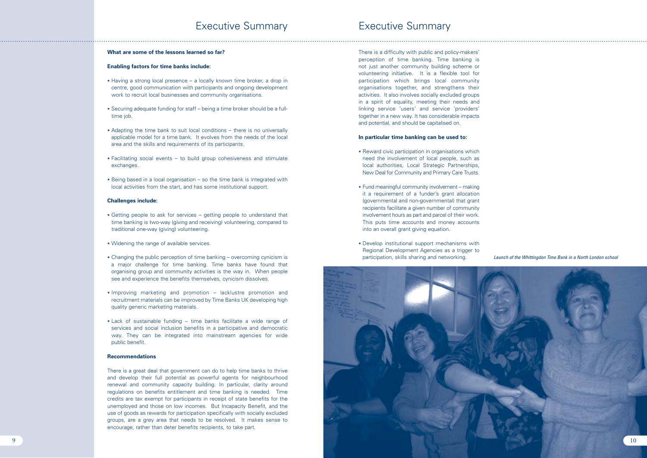There is a difficulty with public and policy-makers' perception of time banking. Time banking is not just another community building scheme or volunteering initiative. It is a flexible tool for participation which brings local community organisations together, and strengthens their activities. It also involves socially excluded groups in a spirit of equality, meeting their needs and linking service 'users' and service 'providers' together in a new way. It has considerable impacts and potential, and should be capitalised on.

## **In particular time banking can be used to:**

- Reward civic participation in organisations which need the involvement of local people, such as local authorities, Local Strategic Partnerships, New Deal for Community and Primary Care Trusts.
- Fund meaningful community involvement making it a requirement of a funder's grant allocation (governmental and non-governmental) that grant recipients facilitate a given number of community involvement hours as part and parcel of their work. This puts time accounts and money accounts into an overall grant giving equation.
- Develop institutional support mechanisms with Regional Development Agencies as a trigger to participation, skills sharing and networking.



## **What are some of the lessons learned so far?**

## **Enabling factors for time banks include:**

- Having a strong local presence a locally known time broker, a drop in centre, good communication with participants and ongoing development work to recruit local businesses and community organisations.
- Securing adequate funding for staff being a time broker should be a fulltime job.
- Adapting the time bank to suit local conditions there is no universally applicable model for a time bank. It evolves from the needs of the local area and the skills and requirements of its participants.
- Facilitating social events to build group cohesiveness and stimulate exchanges.
- Being based in a local organisation so the time bank is integrated with local activities from the start, and has some institutional support.

### **Challenges include:**

- Getting people to ask for services getting people to understand that time banking is two-way (giving and receiving) volunteering, compared to traditional one-way (giving) volunteering.
- Widening the range of available services.
- Changing the public perception of time banking overcoming cynicism is a major challenge for time banking. Time banks have found that organising group and community activities is the way in. When people see and experience the benefits themselves, cynicism dissolves.
- Improving marketing and promotion lacklustre promotion and recruitment materials can be improved by Time Banks UK developing high quality generic marketing materials.
- Lack of sustainable funding time banks facilitate a wide range of services and social inclusion benefits in a participative and democratic way. They can be integrated into mainstream agencies for wide public benefit.

## **Recommendations**

There is a great deal that government can do to help time banks to thrive and develop their full potential as powerful agents for neighbourhood renewal and community capacity building. In particular, clarity around regulations on benefits entitlement and time banking is needed. Time credits are tax exempt for participants in receipt of state benefits for the unemployed and those on low incomes. But Incapacity Benefit, and the use of goods as rewards for participation specifically with socially excluded groups, are a grey area that needs to be resolved. It makes sense to encourage, rather than deter benefits recipients, to take part.

*Launch of the Whittingdon Time Bank in a North London school*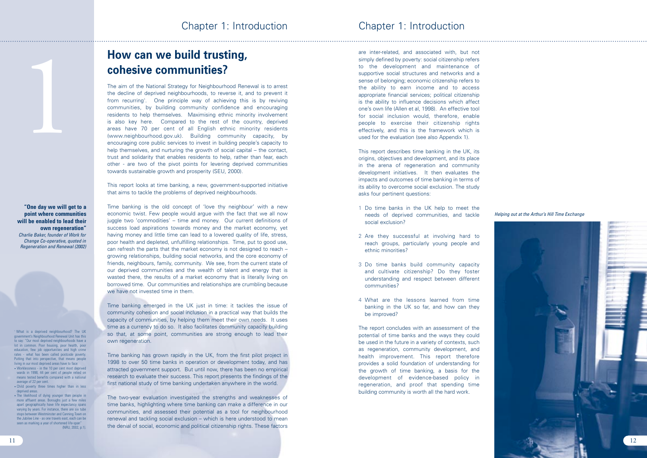are inter-related, and associated with, but not simply defined by poverty: social citizenship refers to the development and maintenance of supportive social structures and networks and a sense of belonging; economic citizenship refers to the ability to earn income and to access appropriate financial services; political citizenship is the ability to influence decisions which affect one's own life (Allen et al, 1998). An effective tool for social inclusion would, therefore, enable people to exercise their citizenship rights effectively, and this is the framework which is used for the evaluation (see also Appendix 1).

This report describes time banking in the UK, its origins, objectives and development, and its place in the arena of regeneration and community development initiatives. It then evaluates the impacts and outcomes of time banking in terms of its ability to overcome social exclusion. The study asks four pertinent questions:

- 1 Do time banks in the UK help to meet the needs of deprived communities, and tackle social exclusion?
- 2 Are they successful at involving hard to reach groups, particularly young people and ethnic minorities?
- 3 Do time banks build community capacity and cultivate citizenship? Do they foster understanding and respect between different communities?
- 4 What are the lessons learned from time banking in the UK so far, and how can they be improved?

The report concludes with an assessment of the potential of time banks and the ways they could be used in the future in a variety of contexts, such as regeneration, community development, and health improvement. This report therefore provides a solid foundation of understanding for the growth of time banking, a basis for the development of evidence-based policy in regeneration, and proof that spending time building community is worth all the hard work.



# **How can we build trusting, cohesive communities?**

Time banking emerged in the UK just in time: it tackles the issue of community cohesion and social inclusion in a practical way that builds the capacity of communities, by helping them meet their own needs. It uses time as a currency to do so. It also facilitates community capacity building so that, at some point, communities are strong enough to lead their own regeneration.<br>Time banking has grown rapidly in the UK, from the first pilot project in

The aim of the National Strategy for Neighbourhood Renewal is to arrest the decline of deprived neighbourhoods, to reverse it, and to prevent it from recurring<sup>1</sup>. One principle way of achieving this is by reviving communities, by building community confidence and encouraging residents to help themselves. Maximising ethnic minority involvement is also key here. Compared to the rest of the country, deprived areas have 70 per cent of all English ethnic minority residents (www.neighbourhood.gov.uk). Building community capacity, by encouraging core public services to invest in building people's capacity to help themselves, and nurturing the growth of social capital – the contact, trust and solidarity that enables residents to help, rather than fear, each other - are two of the pivot points for levering deprived communities towards sustainable growth and prosperity (SEU, 2000).

This report looks at time banking, a new, government-supported initiative that aims to tackle the problems of deprived neighbourhoods. Time banking is the old concept of 'love thy neighbour' with a new

economic twist. Few people would argue with the fact that we all now juggle two 'commodities' – time and money. Our current definitions of success load aspirations towards money and the market economy, yet having money and little time can lead to a lowered quality of life, stress, poor health and depleted, unfulfilling relationships. Time, put to good use, can refresh the parts that the market economy is not designed to reach – growing relationships, building social networks, and the core economy of friends, neighbours, family, community. We see, from the current state of our deprived communities and the wealth of talent and energy that is wasted there, the results of a market economy that is literally living on borrowed time. Our communities and relationships are crumbling because we have not invested time in them.

1998 to over 50 time banks in operation or development today, and has attracted government support. But until now, there has been no empirical research to evaluate their success. This report presents the findings of the first national study of time banking undertaken anywhere in the world.

The two-year evaluation investigated the strengths and weaknesses of time banks, highlighting where time banking can make a difference in our communities, and assessed their potential as a tool for neighbourhood renewal and tackling social exclusion – which is here understood to mean the denial of social, economic and political citizenship rights. These factors

## Chapter 1: Introduction

1 What is a deprived neighbourhood? The UK government's Neighbourhood Renewal Unit has this to say: "Our most deprived neighbourhoods have a lot in common. Poor housing, poor health, poor education, few job opportunities and high crime rates - what has been called postcode poverty. Putting that into perspective, that means people living in our most deprived areas have to face: • Worklessness - in the 10 per cent most deprived

wards in 1998, 44 per cent of people relied on means tested benefits compared with a national average of 22 per cent.

• Child poverty three times higher than in less deprived areas.

• The likelihood of dying younger than people in more affluent areas. Boroughs just a few miles apart geographically have life expectancy spans varying by years. For instance, there are six tube stops between Westminster and Canning Town on the Jubilee Line - as one travels east, each can be seen as marking a year of shortened life-span" (NRU, 2002, p.1).

## *Helping out at the Arthur's Hill Time Exchange*

1

**"One day we will get to a point where communities will be enabled to lead their own regeneration"** *Charlie Baker, founder of Work for Change Co-operative, quoted in Regeneration and Renewal (2002)*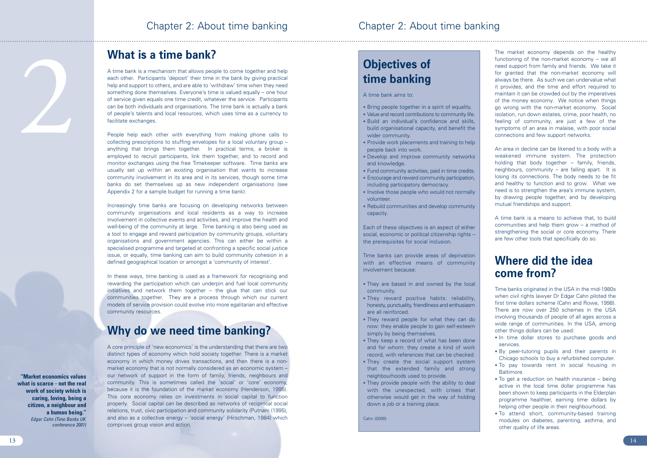The market economy depends on the healthy functioning of the non-market economy – we all need support from family and friends. We take it for granted that the non-market economy will always be there. As such we can undervalue what it provides, and the time and effort required to maintain it can be crowded out by the imperatives of the money economy. We notice when things go wrong with the non-market economy. Social isolation, run down estates, crime, poor health, no feeling of community, are just a few of the symptoms of an area in malaise, with poor social connections and few support networks.

An area in decline can be likened to a body with a weakened immune system. The protection holding that body together – family, friends, neighbours, community – are falling apart. It is losing its connections. The body needs to be fit and healthy to function and to grow. What we need is to strengthen the area's immune system, by drawing people together, and by developing mutual friendships and support.

A time bank is a means to achieve that, to build communities and help them grow – a method of strengthening the social or core economy. There are few other tools that specifically do so.

## **Where did the idea come from?**

Time banks originated in the USA in the mid-1980s when civil rights lawyer Dr Edgar Cahn piloted the first time dollars scheme (Cahn and Rowe, 1998). There are now over 250 schemes in the USA involving thousands of people of all ages across a wide range of communities. In the USA, among other things dollars can be used:

- In time dollar stores to purchase goods and services.
- By peer-tutoring pupils and their parents in Chicago schools to buy a refurbished computer.
- To pay towards rent in social housing in Baltimore.
- To get a reduction on health insurance being active in the local time dollar programme has been shown to keep participants in the Elderplan programme healthier, earning time dollars by helping other people in their neighbourhood.
- To attend short, community-based training modules on diabetes, parenting, asthma, and other quality of life areas.

# **What is a time bank?**

A time bank is a mechanism that allows people to come together and help each other. Participants 'deposit' their time in the bank by giving practical help and support to others, and are able to 'withdraw' time when they need something done themselves. Everyone's time is valued equally – one hour of service given equals one time credit, whatever the service. Participants can be both individuals and organisations. The time bank is actually a bank of people's talents and local resources, which uses time as a currency to facilitate exchanges.

People help each other with everything from making phone calls to collecting prescriptions to stuffing envelopes for a local voluntary group – anything that brings them together. In practical terms, a broker is employed to recruit participants, link them together, and to record and monitor exchanges using the free Timekeeper software. Time banks are usually set up within an existing organisation that wants to increase community involvement in its area and in its services, though some time banks do set themselves up as new independent organisations (see Appendix 2 for a sample budget for running a time bank).

- Bring people together in a spirit of equality.
- Value and record contributions to community life.
- Build an individual's confidence and skills, build organisational capacity, and benefit the wider community.
- Provide work placements and training to help people back into work.
- Develop and improve community networks and knowledge.
- Fund community activities, paid in time credits.
- Encourage and reward community participation, including participatory democracy.
- Involve those people who would not normally volunteer.
- Rebuild communities and develop community capacity.

Increasingly time banks are focusing on developing networks between community organisations and local residents as a way to increase involvement in collective events and activities, and improve the health and well-being of the community at large. Time banking is also being used as a tool to engage and reward participation by community groups, voluntary organisations and government agencies. This can either be within a specialised programme and targeted at confronting a specific social justice issue, or equally, time banking can aim to build community cohesion in a defined geographical location or amongst a 'community of interest'.

In these ways, time banking is used as a framework for recognising and rewarding the participation which can underpin and fuel local community initiatives and network them together – the glue that can stick our communities together. They are a process through which our current models of service provision could evolve into more egalitarian and effective community resources.

## **Why do we need time banking?**

A core principle of 'new economics' is the understanding that there are two distinct types of economy which hold society together. There is a market economy in which money drives transactions, and then there is a nonmarket economy that is not normally considered as an economic system – our network of support in the form of family, friends, neighbours and community. This is sometimes called the 'social' or 'core' economy, because it is the foundation of the market economy (Henderson, 1995). This core economy relies on investments in social capital to function properly. Social capital can be described as networks of reciprocal social relations, trust, civic participation and community solidarity (Putnam (1995), and also as a collective energy – 'social energy' (Hirschman, 1984) which comprises group vision and action.

**"Market economics values what is scarce - not the real work of society which is caring, loving, being a citizen, a neighbour and a human being."** *Edgar Cahn (Time Banks UK conference 2001)*

2

# **Objectives of time banking**

A time bank aims to:

Each of these objectives is an aspect of either social, economic or political citizenship rights – the prerequisites for social inclusion.

Time banks can provide areas of deprivation with an effective means of community involvement because:

- They are based in and owned by the local community.
- They reward positive habits: reliability, honesty, punctuality, friendliness and enthusiasm are all reinforced.
- They reward people for what they can do now: they enable people to gain self-esteem simply by being themselves.
- They keep a record of what has been done and for whom: they create a kind of work record, with references that can be checked.
- They create the social support system that the extended family and strong neighbourhoods used to provide.
- They provide people with the ability to deal with the unexpected, with crises that otherwise would get in the way of holding down a job or a training place.

Cahn (2000)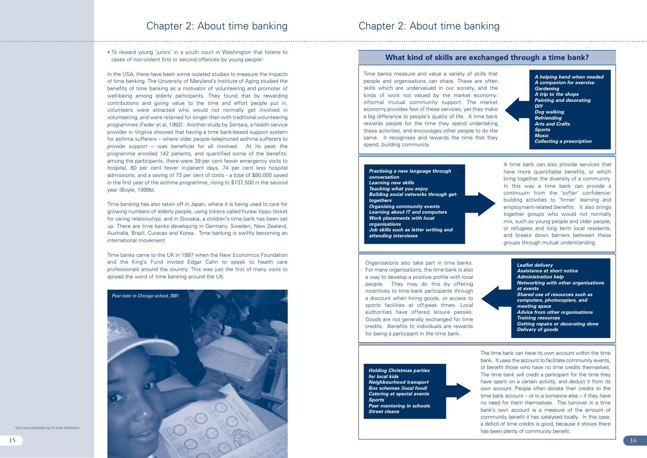• To reward young 'jurors' in a youth court in Washington that listens to cases of non-violent first or second offences by young people<sup>2</sup>.

In the USA, there have been some isolated studies to measure the impacts of time banking. The University of Maryland's Institute of Aging studied the benefits of time banking as a motivator of volunteering and promoter of well-being among elderly participants. They found that by rewarding contributions and giving value to the time and effort people put in, volunteers were attracted who would not normally get involved in volunteering, and were retained for longer than with traditional volunteering programmes (Feder et al, 1992). Another study by Sentara, a health service provider in Virginia showed that having a time bank-based support system for asthma sufferers – where older people telephoned asthma sufferers to provide support – was beneficial for all involved. At its peak the programme enrolled 142 patients, and quantified some of the benefits: among the participants, there were 39 per cent fewer emergency visits to hospital, 80 per cent fewer in-patient days, 74 per cent less hospital admissions, and a saving of 73 per cent of costs - a total of \$80,000 saved in the first year of the asthma programme, rising to \$137,500 in the second year (Boyle, 1999b).

Time banking has also taken off in Japan, where it is being used to care for growing numbers of elderly people, using tokens called hureai kippu (ticket for caring relationship), and in Slovakia, a children's time bank has been set up. There are time banks developing in Germany, Sweden, New Zealand, Australia, Brazil, Curacao and Korea. Time banking is swiftly becoming an international movement.

Time banks came to the UK in 1997 when the New Economics Foundation and the King's Fund invited Edgar Cahn to speak to health care professionals around the country. This was just the first of many visits to spread the word of time banking around the UK.

*A helping hand when needed A companion for exercise Gardening A trip to the shops Painting and decorating DIY Dog walking Befriending Arts and Crafts Sports Music Collecting a prescription*



Time banks measure and value a variety of skills that people and organisations can share. These are often skills which are undervalued in our society, and the kinds of work not valued by the market economy: informal mutual community support. The market economy provides few of these services, yet they make a big difference to people's quality of life. A time bank rewards people for the time they spend undertaking these activities, and encourages other people to do the same. It recognises and rewards the time that they spend, building community.

> A time bank can also provide services that have more quantifiable benefits, or which bring together the diversity of a community. In this way a time bank can provide a continuum from the 'softer' confidencebuilding activities to 'firmer' learning and employment-related benefits. It also brings together groups who would not normally mix, such as young people and older people, or refugees and long term local residents, and breaks down barriers between these groups through mutual understanding.

## **What kind of skills are exchanged through a time bank?**

### *Practising a new language through conversation Learning new skills Teaching what you enjoy Building social networks through gettogethers Organising community events Learning about IT and computers Work placements with local organisations Job skills such as letter writing and attending interviews*

Organisations also take part in time banks. For many organisations, the time bank is also a way to develop a positive profile with local people. They may do this by offering incentives to time bank participants through a discount when hiring goods, or access to sports facilities at off-peak times. Local authorities have offered leisure passes. Goods are not generally exchanged for time credits. Benefits to individuals are rewards for being a participant in the time bank.

*Leaflet delivery Assistance at short notice Administration help Networking with other organisations at events Shared use of resources such as computers, photocopiers, and meeting space Advice from other organisations Training resources Getting repairs or decorating done Delivery of goods*

The time bank can have its own account within the time bank. It uses the account to facilitate community events, or benefit those who have no time credits themselves. The time bank will credit a participant for the time they have spent on a certain activity, and deduct it from its own account. People often donate their credits to the time bank account – or to a someone else – if they have no need for them themselves. The turnover in a time bank's own account is a measure of the amount of community benefit it has catalysed locally. In this case, a deficit of time credits is good, because it shows there has been plenty of community benefit.

<sup>2</sup> Visit www.timedollar.org for more information.

*Holding Christmas parties for local kids Neighbourhood transport Box schemes (local food) Catering at special events Sports Peer mentoring in schools Street cleans*

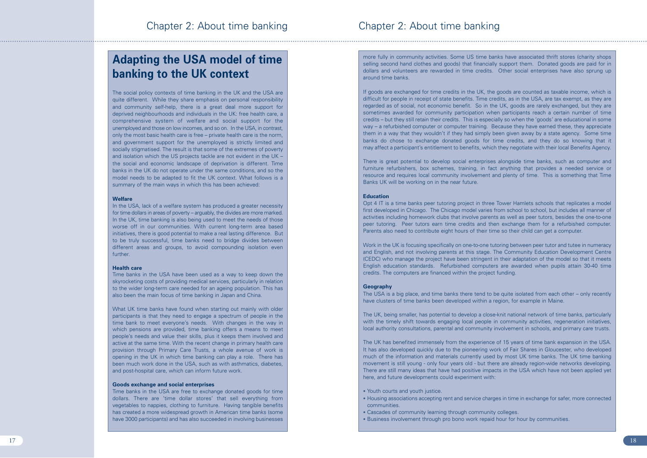# **Adapting the USA model of time banking to the UK context**

The social policy contexts of time banking in the UK and the USA are quite different. While they share emphasis on personal responsibility and community self-help, there is a great deal more support for deprived neighbourhoods and individuals in the UK: free health care, a comprehensive system of welfare and social support for the unemployed and those on low incomes, and so on. In the USA, in contrast, only the most basic health care is free – private health care is the norm, and government support for the unemployed is strictly limited and socially stigmatised. The result is that some of the extremes of poverty and isolation which the US projects tackle are not evident in the UK – the social and economic landscape of deprivation is different. Time banks in the UK do not operate under the same conditions, and so the model needs to be adapted to fit the UK context. What follows is a summary of the main ways in which this has been achieved:

### **Welfare**

In the USA, lack of a welfare system has produced a greater necessity for time dollars in areas of poverty – arguably, the divides are more marked. In the UK, time banking is also being used to meet the needs of those worse off in our communities. With current long-term area based initiatives, there is good potential to make a real lasting difference. But to be truly successful, time banks need to bridge divides between different areas and groups, to avoid compounding isolation even further.

### **Health care**

Time banks in the USA have been used as a way to keep down the skyrocketing costs of providing medical services, particularly in relation to the wider long-term care needed for an ageing population. This has also been the main focus of time banking in Japan and China.

What UK time banks have found when starting out mainly with older participants is that they need to engage a spectrum of people in the time bank to meet everyone's needs. With changes in the way in which pensions are provided, time banking offers a means to meet people's needs and value their skills, plus it keeps them involved and active at the same time. With the recent change in primary health care provision through Primary Care Trusts, a whole avenue of work is opening in the UK in which time banking can play a role. There has been much work done in the USA, such as with asthmatics, diabetes, and post-hospital care, which can inform future work.

### **Goods exchange and social enterprises**

Time banks in the USA are free to exchange donated goods for time dollars. There are 'time dollar stores' that sell everything from vegetables to nappies, clothing to furniture. Having tangible benefits has created a more widespread growth in American time banks (some have 3000 participants) and has also succeeded in involving businesses

more fully in community activities. Some US time banks have associated thrift stores (charity shops selling second hand clothes and goods) that financially support them. Donated goods are paid for in dollars and volunteers are rewarded in time credits. Other social enterprises have also sprung up around time banks.

- Youth courts and youth justice.
- Housing associations accepting rent and service charges in time in exchange for safer, more connected communities.
- Cascades of community learning through community colleges.
- Business involvement through pro bono work repaid hour for hour by communities.

If goods are exchanged for time credits in the UK, the goods are counted as taxable income, which is difficult for people in receipt of state benefits. Time credits, as in the USA, are tax exempt, as they are regarded as of social, not economic benefit. So in the UK, goods are rarely exchanged, but they are sometimes awarded for community participation when participants reach a certain number of time credits – but they still retain their credits. This is especially so when the 'goods' are educational in some way – a refurbished computer or computer training. Because they have earned these, they appreciate them in a way that they wouldn't if they had simply been given away by a state agency. Some time banks do chose to exchange donated goods for time credits, and they do so knowing that it may affect a participant's entitlement to benefits, which they negotiate with their local Benefits Agency.

There is great potential to develop social enterprises alongside time banks, such as computer and furniture refurbishers, box schemes, training, in fact anything that provides a needed service or resource and requires local community involvement and plenty of time. This is something that Time Banks UK will be working on in the near future.

### **Education**

Opt 4 IT is a time banks peer tutoring project in three Tower Hamlets schools that replicates a model first developed in Chicago. The Chicago model varies from school to school, but includes all manner of activities including homework clubs that involve parents as well as peer tutors, besides the one-to-one peer tutoring. Peer tutors earn time credits and then exchange them for a refurbished computer. Parents also need to contribute eight hours of their time so their child can get a computer.

Work in the UK is focusing specifically on one-to-one tutoring between peer tutor and tutee in numeracy and English, and not involving parents at this stage. The Community Education Development Centre (CEDC) who manage the project have been stringent in their adaptation of the model so that it meets English education standards. Refurbished computers are awarded when pupils attain 30-40 time credits. The computers are financed within the project funding.

### **Geography**

The USA is a big place, and time banks there tend to be quite isolated from each other – only recently have clusters of time banks been developed within a region, for example in Maine.

The UK, being smaller, has potential to develop a close-knit national network of time banks, particularly with the timely shift towards engaging local people in community activities, regeneration initiatives, local authority consultations, parental and community involvement in schools, and primary care trusts.

The UK has benefited immensely from the experience of 15 years of time bank expansion in the USA. It has also developed quickly due to the pioneering work of Fair Shares in Gloucester, who developed much of the information and materials currently used by most UK time banks. The UK time banking movement is still young - only four years old - but there are already region-wide networks developing. There are still many ideas that have had positive impacts in the USA which have not been applied yet here, and future developments could experiment with: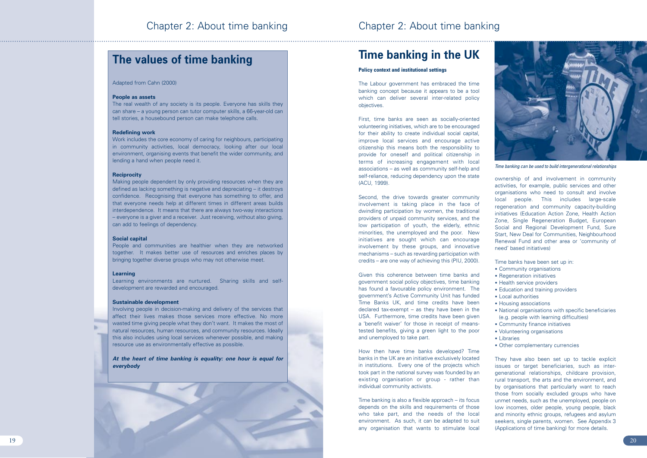# **Time banking in the UK**

## **Policy context and institutional settings**

The Labour government has embraced the time banking concept because it appears to be a tool which can deliver several inter-related policy objectives.

First, time banks are seen as socially-oriented volunteering initiatives, which are to be encouraged for their ability to create individual social capital, improve local services and encourage active citizenship this means both the responsibility to provide for oneself and political citizenship in terms of increasing engagement with local associations – as well as community self-help and self-reliance, reducing dependency upon the state (ACU, 1999).

Second, the drive towards greater community involvement is taking place in the face of dwindling participation by women, the traditional providers of unpaid community services, and the low participation of youth, the elderly, ethnic minorities, the unemployed and the poor. New initiatives are sought which can encourage involvement by these groups, and innovative mechanisms – such as rewarding participation with credits – are one way of achieving this (PIU, 2000).

ownership of and involvement in community activities, for example, public services and other organisations who need to consult and involve local people. This includes large-scale regeneration and community capacity-building initiatives (Education Action Zone, Health Action Zone, Single Regeneration Budget, European Social and Regional Development Fund, Sure Start, New Deal for Communities, Neighbourhood Renewal Fund and other area or 'community of need' based initiatives)<br>Time banks have been set up in:

Given this coherence between time banks and government social policy objectives, time banking has found a favourable policy environment. The government's Active Community Unit has funded Time Banks UK, and time credits have been declared tax-exempt – as they have been in the USA. Furthermore, time credits have been given a 'benefit waiver' for those in receipt of meanstested benefits, giving a green light to the poor and unemployed to take part.

How then have time banks developed? Time banks in the UK are an initiative exclusively located in institutions. Every one of the projects which took part in the national survey was founded by an existing organisation or group - rather than individual community activists.

Time banking is also a flexible approach – its focus depends on the skills and requirements of those who take part, and the needs of the local environment. As such, it can be adapted to suit any organisation that wants to stimulate local

- Community organisations Regeneration initiatives
- 
- Health service providers
- Education and training providers
- Local authorities
- Housing associations
- National organisations with specific beneficiaries (e.g. people with learning difficulties)
- Community finance initiatives
- Volunteering organisations
- Libraries
- Other complementary currencies

They have also been set up to tackle explicit issues or target beneficiaries, such as intergenerational relationships, childcare provision, rural transport, the arts and the environment, and by organisations that particularly want to reach those from socially excluded groups who have unmet needs, such as the unemployed, people on low incomes, older people, young people, black and minority ethnic groups, refugees and asylum seekers, single parents, women. See Appendix 3 (Applications of time banking) for more details.



*Time banking can be used to build intergenerational relationships*

## **The values of time banking**

Adapted from Cahn (2000)

## **People as assets**

The real wealth of any society is its people. Everyone has skills they can share – a young person can tutor computer skills, a 66-year-old can tell stories, a housebound person can make telephone calls.

## **Redefining work**

Work includes the core economy of caring for neighbours, participating in community activities, local democracy, looking after our local environment, organising events that benefit the wider community, and lending a hand when people need it.

## **Reciprocity**

Making people dependent by only providing resources when they are defined as lacking something is negative and depreciating – it destroys confidence. Recognising that everyone has something to offer, and that everyone needs help at different times in different areas builds interdependence. It means that there are always two-way interactions – everyone is a giver and a receiver. Just receiving, without also giving, can add to feelings of dependency.

### **Social capital**

People and communities are healthier when they are networked together. It makes better use of resources and enriches places by bringing together diverse groups who may not otherwise meet.

### **Learning**

Learning environments are nurtured. Sharing skills and selfdevelopment are rewarded and encouraged.

### **Sustainable development**

Involving people in decision-making and delivery of the services that affect their lives makes those services more effective. No more wasted time giving people what they don't want. It makes the most of natural resources, human resources, and community resources. Ideally this also includes using local services whenever possible, and making resource use as environmentally effective as possible.

*At the heart of time banking is equality: one hour is equal for everybody*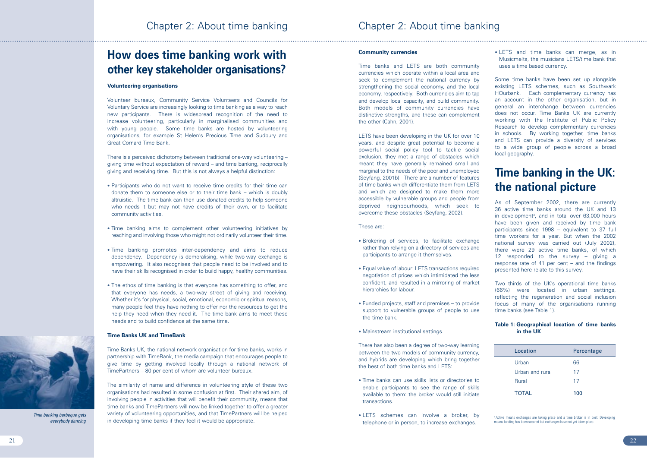## **Community currencies**

Time banks and LETS are both community currencies which operate within a local area and seek to complement the national currency by strengthening the social economy, and the local economy, respectively. Both currencies aim to tap and develop local capacity, and build community. Both models of community currencies have distinctive strengths, and these can complement the other (Cahn, 2001).

LETS have been developing in the UK for over 10 years, and despite great potential to become a powerful social policy tool to tackle social exclusion, they met a range of obstacles which meant they have generally remained small and marginal to the needs of the poor and unemployed (Seyfang, 2001b). There are a number of features of time banks which differentiate them from LETS and which are designed to make them more accessible by vulnerable groups and people from deprived neighbourhoods, which seek to overcome these obstacles (Seyfang, 2002).

## These are:

- Brokering of services, to facilitate exchange rather than relying on a directory of services and participants to arrange it themselves.
- Equal value of labour: LETS transactions required negotiation of prices which intimidated the less confident, and resulted in a mirroring of market hierarchies for labour.
- Funded projects, staff and premises to provide support to vulnerable groups of people to use the time bank.
- Mainstream institutional settings.

There has also been a degree of two-way learning between the two models of community currency, and hybrids are developing which bring together the best of both time banks and LETS:

- Time banks can use skills lists or directories to enable participants to see the range of skills available to them: the broker would still initiate transactions.
- LETS schemes can involve a broker, by telephone or in person, to increase exchanges.

• LETS and time banks can merge, as in Musicmelts, the musicians LETS/time bank that uses a time based currency.

Some time banks have been set up alongside existing LETS schemes, such as Southwark HOurbank. Each complementary currency has an account in the other organisation, but in general an interchange between currencies does not occur. Time Banks UK are currently working with the Institute of Public Policy Research to develop complementary currencies in schools. By working together, time banks and LETS can provide a diversity of services to a wide group of people across a broad local geography.

# **Time banking in the UK: the national picture**

As of September 2002, there are currently 36 active time banks around the UK and 13 in development<sup>3</sup>, and in total over 63,000 hours have been given and received by time bank participants since 1998 – equivalent to 37 full time workers for a year. But when the 2002 national survey was carried out (July 2002), there were 29 active time banks, of which 12 responded to the survey – giving a response rate of 41 per cent – and the findings presented here relate to this survey.

<sup>3</sup> Active means exchanges are taking place and a time broker is in post; Developing means funding has been secured but exchanges have not yet taken place.

Two thirds of the UK's operational time banks (66%) were located in urban settings, reflecting the regeneration and social inclusion focus of many of the organisations running time banks (see Table 1).

## **Table 1: Geographical location of time banks in the UK**

| Location        | Percentage |
|-----------------|------------|
| Urban           | 66         |
| Urban and rural | 17         |
| <b>Rural</b>    | 17         |
| <b>TOTAL</b>    | 100        |

# **How does time banking work with other key stakeholder organisations?**

## **Volunteering organisations**

Volunteer bureaux, Community Service Volunteers and Councils for Voluntary Service are increasingly looking to time banking as a way to reach new participants. There is widespread recognition of the need to increase volunteering, particularly in marginalised communities and with young people. Some time banks are hosted by volunteering organisations, for example St Helen's Precious Time and Sudbury and Great Cornard Time Bank.

There is a perceived dichotomy between traditional one-way volunteering – giving time without expectation of reward – and time banking, reciprocally giving and receiving time. But this is not always a helpful distinction:

- Participants who do not want to receive time credits for their time can donate them to someone else or to their time bank – which is doubly altruistic. The time bank can then use donated credits to help someone who needs it but may not have credits of their own, or to facilitate community activities.
- Time banking aims to complement other volunteering initiatives by reaching and involving those who might not ordinarily volunteer their time.
- Time banking promotes inter-dependency and aims to reduce dependency. Dependency is demoralising, while two-way exchange is empowering. It also recognises that people need to be involved and to have their skills recognised in order to build happy, healthy communities.
- The ethos of time banking is that everyone has something to offer, and that everyone has needs, a two-way street of giving and receiving. Whether it's for physical, social, emotional, economic or spiritual reasons, many people feel they have nothing to offer nor the resources to get the help they need when they need it. The time bank aims to meet these needs and to build confidence at the same time.

## **Time Banks UK and TimeBank**

Time Banks UK, the national network organisation for time banks, works in partnership with TimeBank, the media campaign that encourages people to give time by getting involved locally through a national network of TimePartners – 80 per cent of whom are volunteer bureaux.

The similarity of name and difference in volunteering style of these two organisations had resulted in some confusion at first. Their shared aim, of involving people in activities that will benefit their community, means that time banks and TimePartners will now be linked together to offer a greater variety of volunteering opportunities, and that TimePartners will be helped in developing time banks if they feel it would be appropriate.



*Time banking barbeque gets everybody dancing*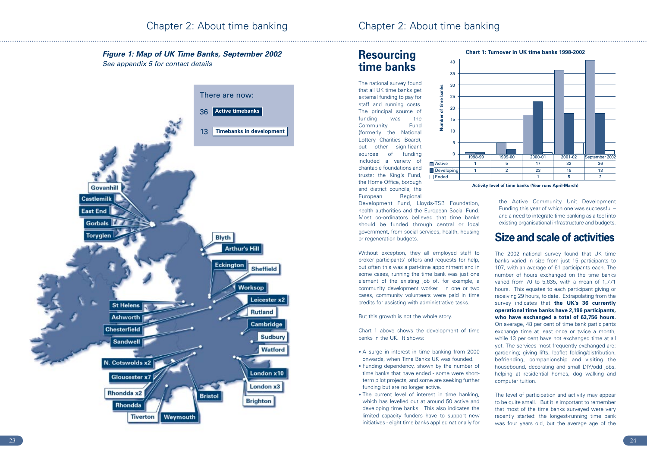# **Resourcing time banks**

The national survey found that all UK time banks get external funding to pay for staff and running costs. The principal source of funding was the Community Fund (formerly the National Lottery Charities Board), but other significant sources of funding included a variety of charitable foundations and trusts: the King's Fund, the Home Office, borough and district councils, the European Regional

Chart 1 above shows the development of time banks in the UK. It shows:<br>• A surge in interest in time banking from 2000

Development Fund, Lloyds-TSB Foundation, health authorities and the European Social Fund. Most co-ordinators believed that time banks should be funded through central or local government, from social services, health, housing or regeneration budgets.

Without exception, they all employed staff to broker participants' offers and requests for help, but often this was a part-time appointment and in some cases, running the time bank was just one element of the existing job of, for example, a community development worker. In one or two cases, community volunteers were paid in time credits for assisting with administrative tasks.

But this growth is not the whole story.

- onwards, when Time Banks UK was founded.
- Funding dependency, shown by the number of time banks that have ended - some were shortterm pilot projects, and some are seeking further funding but are no longer active.
- The current level of interest in time banking, which has levelled out at around 50 active and developing time banks. This also indicates the limited capacity funders have to support new initiatives - eight time banks applied nationally for

the Active Community Unit Development Funding this year of which one was successful – and a need to integrate time banking as a tool into existing organisational infrastructure and budgets.

# **Size and scale of activities**

The 2002 national survey found that UK time banks varied in size from just 15 participants to 107, with an average of 61 participants each. The number of hours exchanged on the time banks varied from 70 to 5,635, with a mean of 1,771 hours. This equates to each participant giving or receiving 29 hours, to date. Extrapolating from the survey indicates that **the UK's 36 currently operational time banks have 2,196 participants, who have exchanged a total of 63,756 hours.** On average, 48 per cent of time bank participants exchange time at least once or twice a month, while 13 per cent have not exchanged time at all yet. The services most frequently exchanged are: gardening; giving lifts, leaflet folding/distribution, befriending, companionship and visiting the housebound, decorating and small DIY/odd jobs, helping at residential homes, dog walking and computer tuition.

The level of participation and activity may appear to be quite small. But it is important to remember that most of the time banks surveyed were very recently started: the longest-running time bank was four years old, but the average age of the



## *Figure 1: Map of UK Time Banks, September 2002 See appendix 5 for contact details*

**Activity level of time banks (Year runs April-March)**

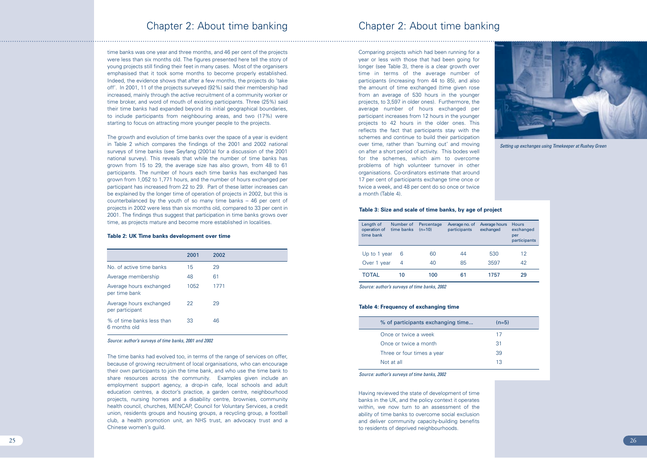time banks was one year and three months, and 46 per cent of the projects were less than six months old. The figures presented here tell the story of young projects still finding their feet in many cases. Most of the organisers emphasised that it took some months to become properly established. Indeed, the evidence shows that after a few months, the projects do 'take off'. In 2001, 11 of the projects surveyed (92%) said their membership had increased, mainly through the active recruitment of a community worker or time broker, and word of mouth of existing participants. Three (25%) said their time banks had expanded beyond its initial geographical boundaries, to include participants from neighbouring areas, and two (17%) were starting to focus on attracting more younger people to the projects.

The growth and evolution of time banks over the space of a year is evident in Table 2 which compares the findings of the 2001 and 2002 national surveys of time banks (see Seyfang (2001a) for a discussion of the 2001 national survey). This reveals that while the number of time banks has grown from 15 to 29, the average size has also grown, from 48 to 61 participants. The number of hours each time banks has exchanged has grown from 1,052 to 1,771 hours, and the number of hours exchanged per participant has increased from 22 to 29. Part of these latter increases can be explained by the longer time of operation of projects in 2002, but this is counterbalanced by the youth of so many time banks – 46 per cent of projects in 2002 were less than six months old, compared to 33 per cent in 2001. The findings thus suggest that participation in time banks grows over time, as projects mature and become more established in localities.

### **Table 2: UK Time banks development over time**

|                                            | 2001 | 2002 |
|--------------------------------------------|------|------|
| No. of active time banks                   | 15   | 29   |
| Average membership                         | 48   | 61   |
| Average hours exchanged<br>per time bank   | 1052 | 1771 |
| Average hours exchanged<br>per participant | 22   | 29   |
| % of time banks less than<br>6 months old  | 33   | 46   |

*Source: author's surveys of time banks, 2001 and 2002*

The time banks had evolved too, in terms of the range of services on offer, because of growing recruitment of local organisations, who can encourage their own participants to join the time bank, and who use the time bank to share resources across the community. Examples given include an employment support agency, a drop-in cafe, local schools and adult education centres, a doctor's practice, a garden centre, neighbourhood projects, nursing homes and a disability centre, brownies, community health council, churches, MENCAP, Council for Voluntary Services, a credit union, residents groups and housing groups, a recycling group, a football club, a health promotion unit, an NHS trust, an advocacy trust and a Chinese women's guild.

Comparing projects which had been running for a year or less with those that had been going for longer (see Table 3), there is a clear growth over time in terms of the average number of participants (increasing from 44 to 85), and also the amount of time exchanged (time given rose from an average of 530 hours in the younger projects, to 3,597 in older ones). Furthermore, the average number of hours exchanged per participant increases from 12 hours in the younger projects to 42 hours in the older ones. This reflects the fact that participants stay with the schemes and continue to build their participation over time, rather than 'burning out' and moving on after a short period of activity. This bodes well for the schemes, which aim to overcome problems of high volunteer turnover in other organisations. Co-ordinators estimate that around 17 per cent of participants exchange time once or twice a week, and 48 per cent do so once or twice a month (Table 4).

Having reviewed the state of development of time banks in the UK, and the policy context it operates within, we now turn to an assessment of the ability of time banks to overcome social exclusion and deliver community capacity-building benefits to residents of deprived neighbourhoods.



| Length of<br>operation of<br>time bank | Number of<br>time banks | Percentage<br>$(n=10)$ | Average no. of<br>participants | Average hours<br>exchanged | <b>Hours</b><br>exchanged<br>per<br>participants |
|----------------------------------------|-------------------------|------------------------|--------------------------------|----------------------------|--------------------------------------------------|
| Up to 1 year                           | 6                       | 60                     | 44                             | 530                        | 12                                               |
| Over 1 year                            | 4                       | 40                     | 85                             | 3597                       | 42                                               |
| TOTAL                                  | 10                      | 100                    | 61                             | 1757                       | 29                                               |

*Setting up exchanges using Timekeeper at Rushey Green*

| $(n=5)$ |  |
|---------|--|
| 17      |  |
| 31      |  |
| 39      |  |
| 13      |  |

## **Table 3: Size and scale of time banks, by age of project**

*Source: author's surveys of time banks, 2002*

### **Table 4: Frequency of exchanging time**

| % of participants exchanging time | $(n=5)$ |
|-----------------------------------|---------|
| Once or twice a week              | 17      |
| Once or twice a month             | 31      |
| Three or four times a year        | 39      |
| Not at all                        | 13      |
|                                   |         |

### *Source: author's surveys of time banks, 2002*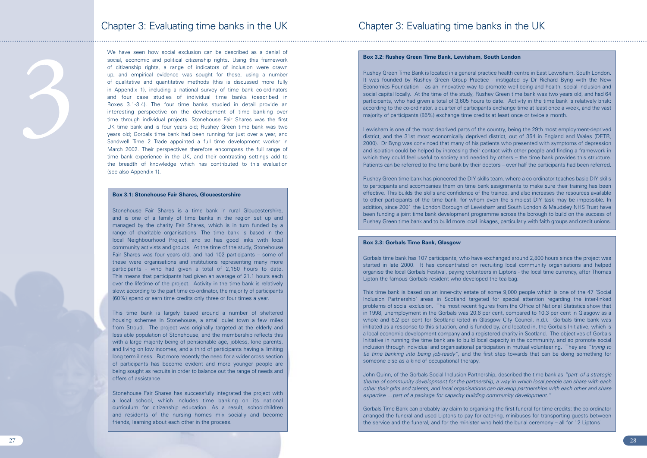3

We have seen how social exclusion can be described as a denial of social, economic and political citizenship rights. Using this framework of citizenship rights, a range of indicators of inclusion were drawn up, and empirical evidence was sought for these, using a number of qualitative and quantitative methods (this is discussed more fully in Appendix 1), including a national survey of time bank co-ordinators and four case studies of individual time banks (described in Boxes 3.1-3.4). The four time banks studied in detail provide an interesting perspective on the development of time banking over time through individual projects. Stonehouse Fair Shares was the first UK time bank and is four years old; Rushey Green time bank was two years old; Gorbals time bank had been running for just over a year, and Sandwell Time 2 Trade appointed a full time development worker in March 2002. Their perspectives therefore encompass the full range of time bank experience in the UK, and their contrasting settings add to the breadth of knowledge which has contributed to this evaluation (see also Appendix 1).

## Chapter 3: Evaluating time banks in the UK

## **Box 3.1: Stonehouse Fair Shares, Gloucestershire**

Stonehouse Fair Shares is a time bank in rural Gloucestershire, and is one of a family of time banks in the region set up and managed by the charity Fair Shares, which is in turn funded by a range of charitable organisations. The time bank is based in the local Neighbourhood Project, and so has good links with local community activists and groups. At the time of the study, Stonehouse Fair Shares was four years old, and had 102 participants – some of these were organisations and institutions representing many more participants - who had given a total of 2,150 hours to date. This means that participants had given an average of 21.1 hours each over the lifetime of the project. Activity in the time bank is relatively slow: according to the part time co-ordinator, the majority of participants (60%) spend or earn time credits only three or four times a year.

This time bank is largely based around a number of sheltered housing schemes in Stonehouse, a small quiet town a few miles from Stroud. The project was originally targeted at the elderly and less able population of Stonehouse, and the membership reflects this with a large majority being of pensionable age, jobless, lone parents, and living on low incomes, and a third of participants having a limiting long term illness. But more recently the need for a wider cross section of participants has become evident and more younger people are being sought as recruits in order to balance out the range of needs and offers of assistance.

Stonehouse Fair Shares has successfully integrated the project with a local school, which includes time banking on its national curriculum for citizenship education. As a result, schoolchildren and residents of the nursing homes mix socially and become friends, learning about each other in the process.

## **Box 3.2: Rushey Green Time Bank, Lewisham, South London**

Rushey Green Time Bank is located in a general practice health centre in East Lewisham, South London. It was founded by Rushey Green Group Practice - instigated by Dr Richard Byng with the New Economics Foundation – as an innovative way to promote well-being and health, social inclusion and social capital locally. At the time of the study, Rushey Green time bank was two years old, and had 64 participants, who had given a total of 3,605 hours to date. Activity in the time bank is relatively brisk: according to the co-ordinator, a quarter of participants exchange time at least once a week, and the vast majority of participants (85%) exchange time credits at least once or twice a month.

Lewisham is one of the most deprived parts of the country, being the 29th most employment-deprived district, and the 31st most economically deprived district, out of 354 in England and Wales (DETR, 2000). Dr Byng was convinced that many of his patients who presented with symptoms of depression and isolation could be helped by increasing their contact with other people and finding a framework in which they could feel useful to society and needed by others – the time bank provides this structure. Patients can be referred to the time bank by their doctors – over half the participants had been referred.

Rushey Green time bank has pioneered the DIY skills team, where a co-ordinator teaches basic DIY skills to participants and accompanies them on time bank assignments to make sure their training has been effective. This builds the skills and confidence of the trainee, and also increases the resources available to other participants of the time bank, for whom even the simplest DIY task may be impossible. In addition, since 2001 the London Borough of Lewisham and South London & Maudsley NHS Trust have been funding a joint time bank development programme across the borough to build on the success of Rushey Green time bank and to build more local linkages, particularly with faith groups and credit unions.

## **Box 3.3: Gorbals Time Bank, Glasgow**

Gorbals time bank has 107 participants, who have exchanged around 2,800 hours since the project was started in late 2000. It has concentrated on recruiting local community organisations and helped organise the local Gorbals Festival, paying volunteers in Liptons - the local time currency, after Thomas Lipton the famous Gorbals resident who developed the tea bag.

This time bank is based on an inner-city estate of some 9,000 people which is one of the 47 'Social Inclusion Partnership' areas in Scotland targeted for special attention regarding the inter-linked problems of social exclusion. The most recent figures from the Office of National Statistics show that in 1998, unemployment in the Gorbals was 20.6 per cent, compared to 10.3 per cent in Glasgow as a whole and 6.2 per cent for Scotland (cited in Glasgow City Council, n.d.). Gorbals time bank was initiated as a response to this situation, and is funded by, and located in, the Gorbals Initiative, which is a local economic development company and a registered charity in Scotland. The objectives of Gorbals Initiative in running the time bank are to build local capacity in the community, and so promote social inclusion through individual and organisational participation in mutual volunteering. They are *"trying to tie time banking into being job-ready"*, and the first step towards that can be doing something for someone else as a kind of occupational therapy.

John Quinn, of the Gorbals Social Inclusion Partnership, described the time bank as *"part of a strategic theme of community development for the partnership, a way in which local people can share with each other their gifts and talents, and local organisations can develop partnerships with each other and share expertise …part of a package for capacity building community development."*

Gorbals Time Bank can probably lay claim to organising the first funeral for time credits: the co-ordinator arranged the funeral and used Liptons to pay for catering, minibuses for transporting guests between the service and the funeral, and for the minister who held the burial ceremony – all for 12 Liptons!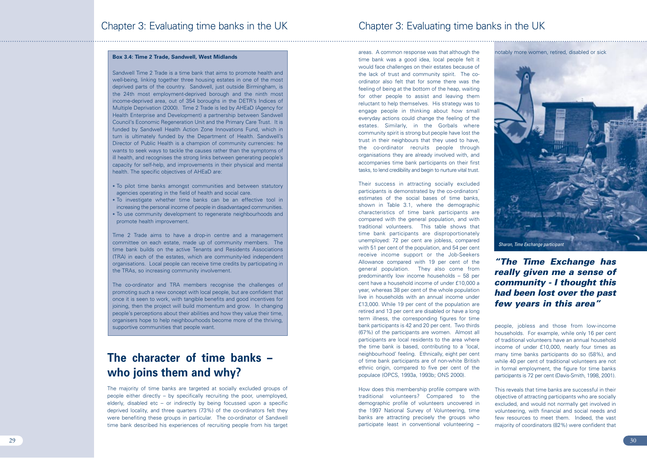areas. A common response was that although the time bank was a good idea, local people felt it would face challenges on their estates because of the lack of trust and community spirit. The coordinator also felt that for some there was the feeling of being at the bottom of the heap, waiting for other people to assist and leaving them reluctant to help themselves. His strategy was to engage people in thinking about how small everyday actions could change the feeling of the estates. Similarly, in the Gorbals where community spirit is strong but people have lost the trust in their neighbours that they used to have, the co-ordinator recruits people through organisations they are already involved with, and accompanies time bank participants on their first tasks, to lend credibility and begin to nurture vital trust.

Their success in attracting socially excluded participants is demonstrated by the co-ordinators' estimates of the social bases of time banks, shown in Table 3.1, where the demographic characteristics of time bank participants are compared with the general population, and with traditional volunteers. This table shows that time bank participants are disproportionately unemployed: 72 per cent are jobless, compared with 51 per cent of the population, and 54 per cent receive income support or the Job-Seekers Allowance compared with 19 per cent of the general population. They also come from predominantly low income households – 58 per cent have a household income of under £10,000 a year, whereas 38 per cent of the whole population live in households with an annual income under £13,000. While 19 per cent of the population are retired and 13 per cent are disabled or have a long term illness, the corresponding figures for time bank participants is 42 and 20 per cent. Two thirds (67%) of the participants are women. Almost all participants are local residents to the area where the time bank is based, contributing to a 'local, neighbourhood' feeling. Ethnically, eight per cent of time bank participants are of non-white British ethnic origin, compared to five per cent of the populace (OPCS, 1993a, 1993b; ONS 2000).

How does this membership profile compare with traditional volunteers? Compared to the demographic profile of volunteers uncovered in the 1997 National Survey of Volunteering, time banks are attracting precisely the groups who participate least in conventional volunteering –

people, jobless and those from low-income households. For example, while only 16 per cent of traditional volunteers have an annual household income of under £10,000, nearly four times as many time banks participants do so (58%), and while 40 per cent of traditional volunteers are not in formal employment, the figure for time banks participants is 72 per cent (Davis-Smith, 1998, 2001).

This reveals that time banks are successful in their objective of attracting participants who are socially excluded, and would not normally get involved in volunteering, with financial and social needs and few resources to meet them. Indeed, the vast majority of coordinators (82%) were confident that

# **The character of time banks – who joins them and why?**

The majority of time banks are targeted at socially excluded groups of people either directly – by specifically recruiting the poor, unemployed, elderly, disabled etc – or indirectly by being focussed upon a specific deprived locality, and three quarters (73%) of the co-ordinators felt they were benefiting these groups in particular. The co-ordinator of Sandwell time bank described his experiences of recruiting people from his target

## **Box 3.4: Time 2 Trade, Sandwell, West Midlands**



Sandwell Time 2 Trade is a time bank that aims to promote health and well-being, linking together three housing estates in one of the most deprived parts of the country. Sandwell, just outside Birmingham, is the 24th most employment-deprived borough and the ninth most income-deprived area, out of 354 boroughs in the DETR's Indices of Multiple Deprivation (2000). Time 2 Trade is led by AHEaD (Agency for Health Enterprise and Development) a partnership between Sandwell Council's Economic Regeneration Unit and the Primary Care Trust. It is funded by Sandwell Health Action Zone Innovations Fund, which in turn is ultimately funded by the Department of Health. Sandwell's Director of Public Health is a champion of community currencies: he wants to seek ways to tackle the causes rather than the symptoms of ill health, and recognises the strong links between generating people's capacity for self-help, and improvements in their physical and mental health. The specific objectives of AHEaD are:

- To pilot time banks amongst communities and between statutory agencies operating in the field of health and social care.
- To investigate whether time banks can be an effective tool in increasing the personal income of people in disadvantaged communities.
- To use community development to regenerate neighbourhoods and promote health improvement.

Time 2 Trade aims to have a drop-in centre and a management committee on each estate, made up of community members. The time bank builds on the active Tenants and Residents Associations (TRA) in each of the estates, which are community-led independent organisations. Local people can receive time credits by participating in the TRAs, so increasing community involvement.

The co-ordinator and TRA members recognise the challenges of promoting such a new concept with local people, but are confident that once it is seen to work, with tangible benefits and good incentives for joining, then the project will build momentum and grow. In changing people's perceptions about their abilities and how they value their time, organisers hope to help neighbourhoods become more of the thriving, supportive communities that people want.

## *"The Time Exchange has really given me a sense of community - I thought this had been lost over the past few years in this area"*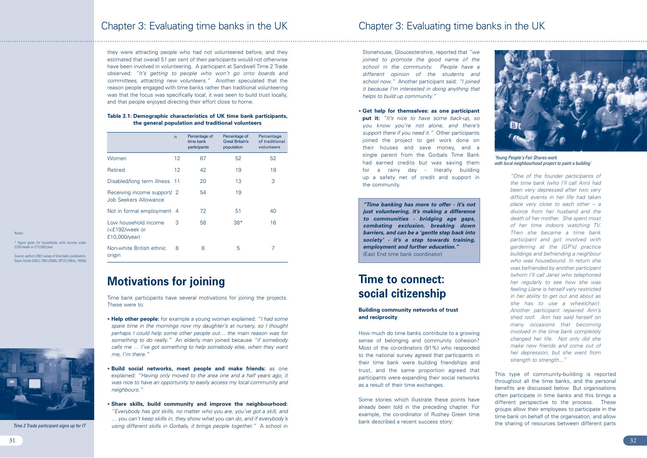Stonehouse, Gloucestershire, reported that *"we joined to promote the good name of the school in the community. People have a different opinion of the students and school now."* Another participant said: *"I joined it because I'm interested in doing anything that helps to build up community."*

• **Get help for themselves: as one participant put it:** *"It's nice to have some back-up, so you know you're not alone, and there's support there if you need it."* Other participants joined the project to get work done on their houses and save money, and a single parent from the Gorbals Time Bank had earned credits but was saving them for a rainy day - literally building up a safety net of credit and support in the community.

# **Time to connect: social citizenship**

## **Building community networks of trust and reciprocity**

How much do time banks contribute to a growing sense of belonging and community cohesion? Most of the co-ordinators (91%) who responded to the national survey agreed that participants in their time bank were building friendships and trust, and the same proportion agreed that participants were expanding their social networks as a result of their time exchanges.

Some stories which illustrate these points have already been told in the preceding chapter. For example, the co-ordinator of Rushey Green time bank described a recent success story:

*"One of the founder participants of the time bank (who I'll call Ann) had been very depressed after two very difficult events in her life had taken place very close to each other – a divorce from her husband and the death of her mother. She spent most of her time indoors watching TV. Then she became a time bank participant and got involved with gardening at the [GP's] practice buildings and befriending a neighbour who was housebound. In return she was befriended by another participant (whom I'll call Jane) who telephoned her regularly to see how she was feeling (Jane is herself very restricted in her ability to get out and about as she has to use a wheelchair). Another participant repaired Ann's shed roof. Ann has said herself on many occasions that becoming involved in the time bank completely changed her life. Not only did she make new friends and come out of her depression, but she went from strength to strength..."*

This type of community-building is reported throughout all the time banks, and the personal benefits are discussed below. But organisations often participate in time banks and this brings a different perspective to the process. These groups allow their employees to participate in the time bank on behalf of the organisation, and allow the sharing of resources between different parts

they were attracting people who had not volunteered before, and they estimated that overall 51 per cent of their participants would not otherwise have been involved in volunteering. A participant at Sandwell Time 2 Trade observed: *"It's getting to people who won't go onto boards and committees, attracting new volunteers."* Another speculated that the reason people engaged with time banks rather than traditional volunteering was that the focus was specifically local, it was seen to build trust locally, and that people enjoyed directing their effort close to home.

## **Table 3.1: Demographic characteristics of UK time bank participants, the general population and traditional volunteers**

# **Motivations for joining**

Time bank participants have several motivations for joining the projects. These were to:

|                                                             | $\mathsf{n}$ | Percentage of<br>time bank<br>participants | Percentage of<br><b>Great Britain's</b><br>population | Percentage<br>of traditional<br>volunteers |
|-------------------------------------------------------------|--------------|--------------------------------------------|-------------------------------------------------------|--------------------------------------------|
| Women                                                       | 12           | 67                                         | 52                                                    | 52                                         |
| Retired                                                     | 12           | 42                                         | 19                                                    | 19                                         |
| Disabled/long term illness                                  | -11          | 20                                         | 13                                                    | 3                                          |
| Receiving income support/ 2<br>Job Seekers Allowance        |              | 54                                         | 19                                                    |                                            |
| Not in formal employment 4                                  |              | 72                                         | 51                                                    | 40                                         |
| Low household income<br>$\leq$ 192/week or<br>£10,000/year) | 3            | 58                                         | $38*$                                                 | 16                                         |
| Non-white British ethnic<br>origin                          | 8            | 8                                          | 5                                                     | 7                                          |

### **Notes**

- **Help other people:** for example a young woman explained: *"I had some spare time in the mornings now my daughter's at nursery, so I thought perhaps I could help some other people out… the main reason was for something to do really."* An elderly man joined because *"if somebody calls me … I've got something to help somebody else, when they want me, I'm there."*
- **Build social networks, meet people and make friends:** as one explained: *"Having only moved to the area one and a half years ago, it was nice to have an opportunity to easily access my local community and neighbours."*
- **Share skills, build community and improve the neighbourhood:** *"Everybody has got skills, no matter who you are, you've got a skill, and … you can't keep skills in, they show what you can do, and if everybody's using different skills in Gorbals, it brings people together."* A school in

\* figure given for households with income under £250/week or £13,000/year

Source: author's 2001 survey of time bank coordinators, Davis-Smith (2001); ONS (2000); OPCS (1993a, 1993b)



*Time 2 Trade participant signs up for IT*



*'Young People's Fair Shares work with local neighbourhood project to paint a building'*

*"Time banking has more to offer - it's not just volunteering, it's making a difference to communities - bridging age gaps, combating exclusion, breaking down barriers, and can be a 'gentle step back into society' - it's a step towards training, employment and further education."* (East End time bank coordinator)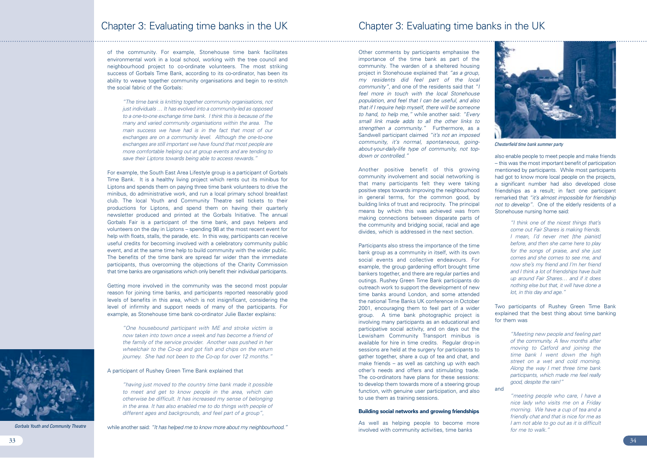Other comments by participants emphasise the importance of the time bank as part of the community. The warden of a sheltered housing project in Stonehouse explained that *"as a group, my residents did feel part of the local community"*, and one of the residents said that *"I feel more in touch with the local Stonehouse population, and feel that I can be useful, and also that if I require help myself, there will be someone to hand, to help me,"* while another said: *"Every small link made adds to all the other links to strengthen a community."* Furthermore, as a Sandwell participant claimed *"it's not an imposed community, it's normal, spontaneous, goingabout-your-daily-life type of community, not topdown or controlled."*

Another positive benefit of this growing community involvement and social networking is that many participants felt they were taking positive steps towards improving the neighbourhood in general terms, for the common good, by building links of trust and reciprocity. The principal means by which this was achieved was from making connections between disparate parts of the community and bridging social, racial and age divides, which is addressed in the next section.

Participants also stress the importance of the time bank group as a community in itself, with its own social events and collective endeavours. For example, the group gardening effort brought time bankers together, and there are regular parties and outings. Rushey Green Time Bank participants do outreach work to support the development of new time banks around London, and some attended the national Time Banks UK conference in October 2001, encouraging them to feel part of a wider group. A time bank photographic project is involving many participants as an educational and participative social activity, and on days out the Lewisham Community Transport minibus is available for hire in time credits. Regular drop-in sessions are held at the surgery for participants to gather together, share a cup of tea and chat, and make friends – as well as catching up with each other's needs and offers and stimulating trade. The co-ordinators have plans for these sessions: to develop them towards more of a steering group function, with genuine user participation, and also to use them as training sessions.

## **Building social networks and growing friendships**

As well as helping people to become more involved with community activities, time banks

also enable people to meet people and make friends – this was the most important benefit of participation mentioned by participants. While most participants had got to know more local people on the projects. a significant number had also developed close friendships as a result; in fact one participant remarked that *"it's almost impossible for friendship not to develop".* One of the elderly residents of a Stonehouse nursing home said:

> *"I think one of the nicest things that's come out Fair Shares is making friends. I mean, I'd never met [the pianist] before, and then she came here to play for the songs of praise, and she just comes and she comes to see me, and now she's my friend and I'm her friend and I think a lot of friendships have built up around Fair Shares… and if it does nothing else but that, it will have done a lot, in this day and age."*

Two participants of Rushey Green Time Bank explained that the best thing about time banking for them was

> *"Meeting new people and feeling part of the community. A few months after moving to Catford and joining the time bank I went down the high street on a wet and cold morning. Along the way I met three time bank participants, which made me feel really good, despite the rain!"*

and

*"meeting people who care, I have a nice lady who visits me on a Friday morning. We have a cup of tea and a friendly chat and that is nice for me as I am not able to go out as it is difficult for me to walk."*

of the community. For example, Stonehouse time bank facilitates environmental work in a local school, working with the tree council and neighbourhood project to co-ordinate volunteers. The most striking success of Gorbals Time Bank, according to its co-ordinator, has been its ability to weave together community organisations and begin to re-stitch the social fabric of the Gorbals:

*"The time bank is knitting together community organisations, not just individuals … It has evolved into a community-led as opposed to a one-to-one exchange time bank. I think this is because of the many and varied community organisations within the area. The main success we have had is in the fact that most of our exchanges are on a community level. Although the one-to-one exchanges are still important we have found that most people are more comfortable helping out at group events and are tending to save their Liptons towards being able to access rewards."*

For example, the South East Area Lifestyle group is a participant of Gorbals Time Bank. It is a healthy living project which rents out its minibus for Liptons and spends them on paying three time bank volunteers to drive the minibus, do administrative work, and run a local primary school breakfast club. The local Youth and Community Theatre sell tickets to their productions for Liptons, and spend them on having their quarterly newsletter produced and printed at the Gorbals Initiative. The annual Gorbals Fair is a participant of the time bank, and pays helpers and volunteers on the day in Liptons – spending 98 at the most recent event for help with floats, stalls, the parade, etc. In this way, participants can receive useful credits for becoming involved with a celebratory community public event, and at the same time help to build community with the wider public. The benefits of the time bank are spread far wider than the immediate participants, thus overcoming the objections of the Charity Commission that time banks are organisations which only benefit their individual participants.

Getting more involved in the community was the second most popular reason for joining time banks, and participants reported reasonably good levels of benefits in this area, which is not insignificant, considering the level of infirmity and support needs of many of the participants. For example, as Stonehouse time bank co-ordinator Julie Baxter explains:

*"One housebound participant with ME and stroke victim is now taken into town once a week and has become a friend of the family of the service provider. Another was pushed in her wheelchair to the Co-op and got fish and chips on the return journey. She had not been to the Co-op for over 12 months."*

A participant of Rushey Green Time Bank explained that

*"having just moved to the country time bank made it possible to meet and get to know people in the area, which can otherwise be difficult. It has increased my sense of belonging in the area. It has also enabled me to do things with people of different ages and backgrounds, and feel part of a group"*,

while another said: *"It has helped me to know more about my neighbourhood."* 



*Gorbals Youth and Community Theatre*



*Chesterfield time bank summer party*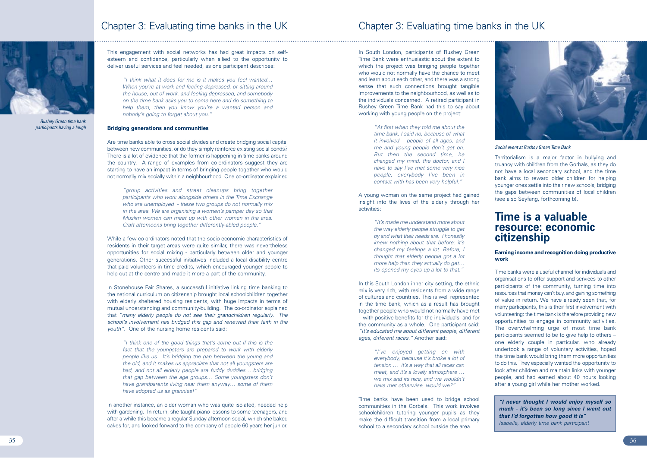In South London, participants of Rushey Green Time Bank were enthusiastic about the extent to which the project was bringing people together who would not normally have the chance to meet and learn about each other, and there was a strong sense that such connections brought tangible improvements to the neighbourhood, as well as to the individuals concerned. A retired participant in Rushey Green Time Bank had this to say about working with young people on the project:

> *"At first when they told me about the time bank, I said no, because of what it involved – people of all ages, and me and young people don't get on. But then the second time, he changed my mind, the doctor, and I have to say I've met some very nice people, everybody I've been in contact with has been very helpful."*

In this South London inner city setting, the ethnic mix is very rich, with residents from a wide range of cultures and countries. This is well represented in the time bank, which as a result has brought together people who would not normally have met – with positive benefits for the individuals, and for the community as a whole. One participant said: *"It's educated me about different people, different ages, different races."* Another said:

A young woman on the same project had gained insight into the lives of the elderly through her activities:

> *"It's made me understand more about the way elderly people struggle to get by and what their needs are. I honestly knew nothing about that before: it's changed my feelings a lot. Before, I thought that elderly people got a lot more help than they actually do get… its opened my eyes up a lot to that."*

*"I've enjoyed getting on with everybody, because it's broke a lot of tension … it's a way that all races can meet, and it's a lovely atmosphere … we mix and its nice, and we wouldn't have met otherwise, would we?"*

Time banks have been used to bridge school communities in the Gorbals. This work involves schoolchildren tutoring younger pupils as they make the difficult transition from a local primary school to a secondary school outside the area.

Territorialism is a major factor in bullying and truancy with children from the Gorbals, as they do not have a local secondary school, and the time bank aims to reward older children for helping younger ones settle into their new schools, bridging the gaps between communities of local children (see also Seyfang, forthcoming b).

## **Time is a valuable resource: economic citizenship**

**Earning income and recognition doing productive work**

In Stonehouse Fair Shares, a successful initiative linking time banking to the national curriculum on citizenship brought local schoolchildren together with elderly sheltered housing residents, with huge impacts in terms of mutual understanding and community-building. The co-ordinator explained that *"many elderly people do not see their grandchildren regularly. The school's involvement has bridged this gap and renewed their faith in the youth".* One of the nursing home residents said:

Time banks were a useful channel for individuals and organisations to offer support and services to other participants of the community, turning time into resources that money can't buy, and gaining something of value in return. We have already seen that, for many participants, this is their first involvement with volunteering: the time bank is therefore providing new opportunities to engage in community activities. The overwhelming urge of most time bank participants seemed to be to give help to others – one elderly couple in particular, who already undertook a range of voluntary activities, hoped the time bank would bring them more opportunities to do this. They especially wanted the opportunity to look after children and maintain links with younger people, and had earned about 40 hours looking after a young girl while her mother worked.

Chapter 3: Evaluating time banks in the UK

This engagement with social networks has had great impacts on selfesteem and confidence, particularly when allied to the opportunity to deliver useful services and feel needed, as one participant describes:

*"I think what it does for me is it makes you feel wanted… When you're at work and feeling depressed, or sitting around the house, out of work, and feeling depressed, and somebody on the time bank asks you to come here and do something to help them, then you know you're a wanted person and nobody's going to forget about you."*

## **Bridging generations and communities**

Are time banks able to cross social divides and create bridging social capital between new communities, or do they simply reinforce existing social bonds? There is a lot of evidence that the former is happening in time banks around the country. A range of examples from co-ordinators suggest they are starting to have an impact in terms of bringing people together who would not normally mix socially within a neighbourhood. One co-ordinator explained

*"group activities and street cleanups bring together participants who work alongside others in the Time Exchange who are unemployed - these two groups do not normally mix in the area. We are organising a women's pamper day so that Muslim women can meet up with other women in the area. Craft afternoons bring together differently-abled people."* 

While a few co-ordinators noted that the socio-economic characteristics of residents in their target areas were quite similar, there was nevertheless opportunities for social mixing - particularly between older and younger generations. Other successful initiatives included a local disability centre that paid volunteers in time credits, which encouraged younger people to help out at the centre and made it more a part of the community.

*"I think one of the good things that's come out if this is the fact that the youngsters are prepared to work with elderly people like us. It's bridging the gap between the young and the old, and it makes us appreciate that not all youngsters are bad, and not all elderly people are fuddy duddies …bridging that gap between the age groups… Some youngsters don't have grandparents living near them anyway… some of them have adopted us as grannies!"* 

In another instance, an older woman who was quite isolated, needed help with gardening. In return, she taught piano lessons to some teenagers, and after a while this became a regular Sunday afternoon social, which she baked cakes for, and looked forward to the company of people 60 years her junior.

## Chapter 3: Evaluating time banks in the UK





*Rushey Green time bank participants having a laugh*

### *Social event at Rushey Green Time Bank*

*"I never thought I would enjoy myself so much - it's been so long since I went out that I'd forgotten how good it is" Isabelle, elderly time bank participant*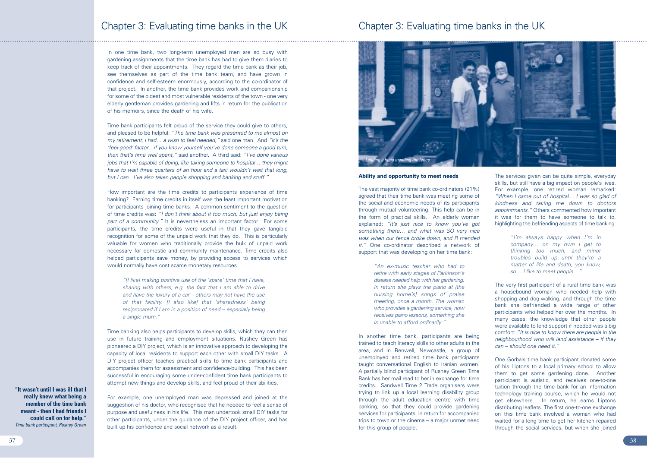## **Ability and opportunity to meet needs**

The vast majority of time bank co-ordinators (91%) agreed that their time bank was meeting some of the social and economic needs of its participants through mutual volunteering. This help can be in the form of practical skills. An elderly woman explained: *"It's just nice to know you've got something there… and what was SO very nice was when our fence broke down, and R mended it."* One co-ordinator described a network of support that was developing on her time bank:

> *"An ex-music teacher who had to retire with early stages of Parkinson's disease needed help with her gardening. In return she plays the piano at [the nursing home's] songs of praise meeting, once a month. The woman who provides a gardening service, now receives piano lessons, something she is unable to afford ordinarily."*

In another time bank, participants are being trained to teach literacy skills to other adults in the area, and in Benwell, Newcastle, a group of unemployed and retired time bank participants taught conversational English to Iranian women. A partially blind participant of Rushey Green Time Bank has her mail read to her in exchange for time credits. Sandwell Time 2 Trade organisers were trying to link up a local learning disability group through the adult education centre with time banking, so that they could provide gardening services for participants, in return for accompanied trips to town or the cinema – a major unmet need for this group of people.

The services given can be quite simple, everyday skills, but still have a big impact on people's lives. For example, one retired woman remarked: *"When I came out of hospital… I was so glad of kindness and taking me down to doctors appointments."* Others commented how important it was for them to have someone to talk to, highlighting the befriending aspects of time banking:

> *"I'm always happy when I'm in company… on my own I get to thinking too much, and minor troubles build up until they're a matter of life and death, you know, so… I like to meet people…"*

The very first participant of a rural time bank was a housebound woman who needed help with shopping and dog-walking, and through the time bank she befriended a wide range of other participants who helped her over the months. In many cases, the knowledge that other people were available to lend support if needed was a big comfort: *"It is nice to know there are people in the neighbourhood who will lend assistance – if they can – should one need it."*

One Gorbals time bank participant donated some of his Liptons to a local primary school to allow them to get some gardening done. Another participant is autistic, and receives one-to-one tuition through the time bank for an information technology training course, which he would not get elsewhere. In return, he earns Liptons distributing leaflets. The first one-to-one exchange on this time bank involved a woman who had waited for a long time to get her kitchen repaired through the social services, but when she joined

## Chapter 3: Evaluating time banks in the UK

In one time bank, two long-term unemployed men are so busy with gardening assignments that the time bank has had to give them diaries to keep track of their appointments. They regard the time bank as their job, see themselves as part of the time bank team, and have grown in confidence and self-esteem enormously, according to the co-ordinator of that project. In another, the time bank provides work and companionship for some of the oldest and most vulnerable residents of the town - one very elderly gentleman provides gardening and lifts in return for the publication of his memoirs, since the death of his wife.

Time bank participants felt proud of the service they could give to others, and pleased to be helpful: *"The time bank was presented to me almost on my retirement; I had… a wish to feel needed,"* said one man. And *"it's the 'feel-good' factor…if you know yourself you've done someone a good turn, then that's time well spent,"* said another. A third said: *"I've done various jobs that I'm capable of doing, like taking someone to hospital… they might have to wait three quarters of an hour and a taxi wouldn't wait that long, but I can. I've also taken people shopping and banking and stuff."*

How important are the time credits to participants experience of time banking? Earning time credits in itself was the least important motivation for participants joining time banks. A common sentiment to the question of time credits was: *"I don't think about it too much, but just enjoy being part of a community."* It is nevertheless an important factor. For some participants, the time credits were useful in that they gave tangible recognition for some of the unpaid work that they do. This is particularly valuable for women who traditionally provide the bulk of unpaid work necessary for domestic and community maintenance. Time credits also helped participants save money, by providing access to services which would normally have cost scarce monetary resources.

*"[I like] making positive use of the 'spare' time that I have, sharing with others, e.g. the fact that I am able to drive and have the luxury of a car – others may not have the use of that facility. [I also like] that 'sharedness' being reciprocated if I am in a position of need – especially being a single mum."* 

Time banking also helps participants to develop skills, which they can then use in future training and employment situations. Rushey Green has pioneered a DIY project, which is an innovative approach to developing the capacity of local residents to support each other with small DIY tasks. A DIY project officer teaches practical skills to time bank participants and accompanies them for assessment and confidence-building. This has been successful in encouraging some under-confident time bank participants to attempt new things and develop skills, and feel proud of their abilities.

For example, one unemployed man was depressed and joined at the suggestion of his doctor, who recognised that he needed to feel a sense of purpose and usefulness in his life. This man undertook small DIY tasks for other participants, under the guidance of the DIY project officer, and has built up his confidence and social network as a result.

## Chapter 3: Evaluating time banks in the UK



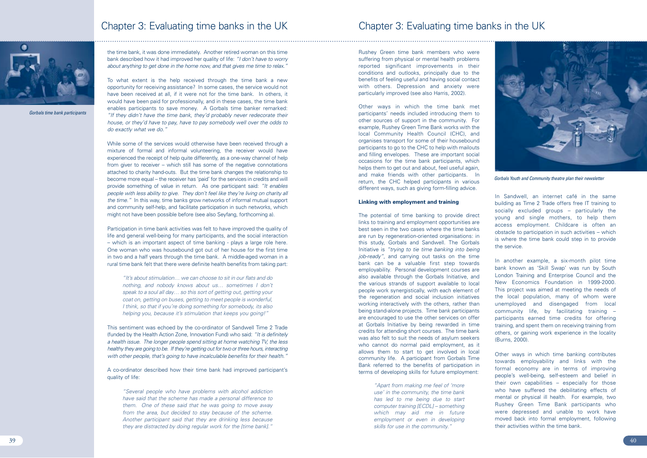Rushey Green time bank members who were suffering from physical or mental health problems reported significant improvements in their conditions and outlooks, principally due to the benefits of feeling useful and having social contact with others. Depression and anxiety were particularly improved (see also Harris, 2002).

Other ways in which the time bank met participants' needs included introducing them to other sources of support in the community. For example, Rushey Green Time Bank works with the local Community Health Council (CHC), and organises transport for some of their housebound participants to go to the CHC to help with mailouts and filling envelopes. These are important social occasions for the time bank participants, which helps them to get out and about, feel useful again. and make friends with other participants. In return, the CHC helped participants in various different ways, such as giving form-filling advice.

## **Linking with employment and training**

The potential of time banking to provide direct links to training and employment opportunities are best seen in the two cases where the time banks are run by regeneration-oriented organisations: in this study, Gorbals and Sandwell. The Gorbals Initiative is *"trying to tie time banking into being job-ready"*, and carrying out tasks on the time bank can be a valuable first step towards employability. Personal development courses are also available through the Gorbals Initiative, and the various strands of support available to local people work synergistically, with each element of the regeneration and social inclusion initiatives working interactively with the others, rather than being stand-alone projects. Time bank participants are encouraged to use the other services on offer at Gorbals Initiative by being rewarded in time credits for attending short courses. The time bank was also felt to suit the needs of asylum seekers who cannot do normal paid employment, as it allows them to start to get involved in local community life. A participant from Gorbals Time Bank referred to the benefits of participation in terms of developing skills for future employment:

> *"Apart from making me feel of 'more use' in the community, the time bank has led to me being due to start computer training [ECDL] – something which may aid me in future employment or even in developing skills for use in the community."*

In Sandwell, an internet café in the same building as Time 2 Trade offers free IT training to socially excluded groups – particularly the young and single mothers, to help them access employment. Childcare is often an obstacle to participation in such activities – which is where the time bank could step in to provide the service.

In another example, a six-month pilot time bank known as 'Skill Swap' was run by South London Training and Enterprise Council and the New Economics Foundation in 1999-2000. This project was aimed at meeting the needs of the local population, many of whom were unemployed and disengaged from local community life, by facilitating training participants earned time credits for offering training, and spent them on receiving training from others, or gaining work experience in the locality (Burns, 2000).

Other ways in which time banking contributes towards employability and links with the formal economy are in terms of improving people's well-being, self-esteem and belief in their own capabilities – especially for those who have suffered the debilitating effects of mental or physical ill health. For example, two Rushey Green Time Bank participants who were depressed and unable to work have moved back into formal employment, following their activities within the time bank.

the time bank, it was done immediately. Another retired woman on this time bank described how it had improved her quality of life: *"I don't have to worry about anything to get done in the home now, and that gives me time to relax."*

To what extent is the help received through the time bank a new opportunity for receiving assistance? In some cases, the service would not have been received at all, if it were not for the time bank. In others, it would have been paid for professionally, and in these cases, the time bank enables participants to save money. A Gorbals time banker remarked: *"If they didn't have the time bank, they'd probably never redecorate their house, or they'd have to pay, have to pay somebody well over the odds to do exactly what we do."*

While some of the services would otherwise have been received through a mixture of formal and informal volunteering, the receiver would have experienced the receipt of help quite differently, as a one-way channel of help from giver to receiver – which still has some of the negative connotations attached to charity hand-outs. But the time bank changes the relationship to become more equal – the receiver has 'paid' for the services in credits and will provide something of value in return. As one participant said: *"It enables people with less ability to give. They don't feel like they're living on charity all the time."* In this way, time banks grow networks of informal mutual support and community self-help, and facilitate participation in such networks, which might not have been possible before (see also Seyfang, forthcoming a).

Participation in time bank activities was felt to have improved the quality of life and general well-being for many participants, and the social interaction – which is an important aspect of time banking - plays a large role here. One woman who was housebound got out of her house for the first time in two and a half years through the time bank. A middle-aged woman in a rural time bank felt that there were definite health benefits from taking part:

*"It's about stimulation… we can choose to sit in our flats and do nothing, and nobody knows about us… sometimes I don't speak to a soul all day… so this sort of getting out, getting your coat on, getting on buses, getting to meet people is wonderful, I think, so that if you're doing something for somebody, its also helping you, because it's stimulation that keeps you going!"* 

This sentiment was echoed by the co-ordinator of Sandwell Time 2 Trade (funded by the Health Action Zone, Innovation Fund) who said: *"It is definitely a health issue. The longer people spend sitting at home watching TV, the less healthy they are going to be. If they're getting out for two or three hours, interacting with other people, that's going to have incalculable benefits for their health."*

A co-ordinator described how their time bank had improved participant's quality of life:

*"Several people who have problems with alcohol addiction have said that the scheme has made a personal difference to them. One of these said that he was going to move away from the area, but decided to stay because of the scheme. Another participant said that they are drinking less because they are distracted by doing regular work for the [time bank]."*

## Chapter 3: Evaluating time banks in the UK



*Gorbals time bank participants*



*Gorbals Youth and Community theatre plan their newsletter*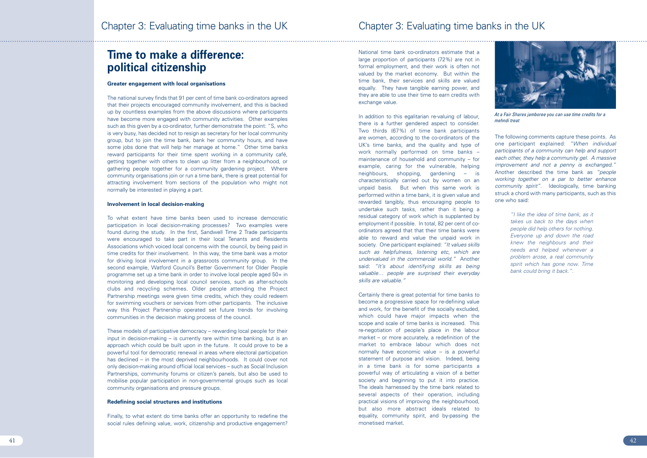In addition to this egalitarian re-valuing of labour. there is a further gendered aspect to consider. Two thirds (67%) of time bank participants are women, according to the co-ordinators of the UK's time banks, and the quality and type of work normally performed on time banks – maintenance of household and community – for example, caring for the vulnerable, helping neighbours, shopping, gardening – is characteristically carried out by women on an unpaid basis. But when this same work is performed within a time bank, it is given value and rewarded tangibly, thus encouraging people to undertake such tasks, rather than it being a residual category of work which is supplanted by employment if possible. In total, 82 per cent of coordinators agreed that that their time banks were able to reward and value the unpaid work in society. One participant explained: *"It values skills such as helpfulness, listening etc, which are undervalued in the commercial world."* Another said: *"It's about identifying skills as being valuable… people are surprised their everyday skills are valuable."*

Certainly there is great potential for time banks to become a progressive space for re-defining value and work, for the benefit of the socially excluded, which could have major impacts when the scope and scale of time banks is increased. This re-negotiation of people's place in the labour market – or more accurately, a redefinition of the market to embrace labour which does not normally have economic value – is a powerful statement of purpose and vision. Indeed, being in a time bank is for some participants a powerful way of articulating a vision of a better society and beginning to put it into practice. The ideals harnessed by the time bank related to several aspects of their operation, including practical visions of improving the neighbourhood, but also more abstract ideals related to equality, community spirit, and by-passing the monetised market.

The following comments capture these points. As one participant explained: *"When individual participants of a community can help and support each other, they help a community gel. A massive improvement and not a penny is exchanged."* Another described the time bank as *"people working together on a par to better enhance community spirit".* Ideologically, time banking struck a chord with many participants, such as this one who said:

> *"I like the idea of time bank, as it takes us back to the days when people did help others for nothing. Everyone up and down the road knew the neighbours and their needs and helped whenever a problem arose, a real community spirit which has gone now. Time bank could bring it back.".*

## **Time to make a difference: political citizenship**

### **Greater engagement with local organisations**

The national survey finds that 91 per cent of time bank co-ordinators agreed that their projects encouraged community involvement, and this is backed up by countless examples from the above discussions where participants have become more engaged with community activities. Other examples such as this given by a co-ordinator, further demonstrate the point: "S, who is very busy, has decided not to resign as secretary for her local community group, but to join the time bank, bank her community hours, and have some jobs done that will help her manage at home." Other time banks reward participants for their time spent working in a community café, getting together with others to clean up litter from a neighbourhood, or gathering people together for a community gardening project. Where community organisations join or run a time bank, there is great potential for attracting involvement from sections of the population who might not normally be interested in playing a part.

### **Involvement in local decision-making**

To what extent have time banks been used to increase democratic participation in local decision-making processes? Two examples were found during the study. In the first, Sandwell Time 2 Trade participants were encouraged to take part in their local Tenants and Residents Associations which voiced local concerns with the council, by being paid in time credits for their involvement. In this way, the time bank was a motor for driving local involvement in a grassroots community group. In the second example, Watford Council's Better Government for Older People programme set up a time bank in order to involve local people aged 50+ in monitoring and developing local council services, such as after-schools clubs and recycling schemes. Older people attending the Project Partnership meetings were given time credits, which they could redeem for swimming vouchers or services from other participants. The inclusive way this Project Partnership operated set future trends for involving communities in the decision making process of the council.

These models of participative democracy – rewarding local people for their input in decision-making – is currently rare within time banking, but is an approach which could be built upon in the future. It could prove to be a powerful tool for democratic renewal in areas where electoral participation has declined – in the most deprived neighbourhoods. It could cover not only decision-making around official local services – such as Social Inclusion Partnerships, community forums or citizen's panels, but also be used to mobilise popular participation in non-governmental groups such as local community organisations and pressure groups.

## **Redefining social structures and institutions**

Finally, to what extent do time banks offer an opportunity to redefine the social rules defining value, work, citizenship and productive engagement? National time bank co-ordinators estimate that a large proportion of participants (72%) are not in formal employment, and their work is often not valued by the market economy. But within the time bank, their services and skills are valued equally. They have tangible earning power, and they are able to use their time to earn credits with exchange value.



*At a Fair Shares jamboree you can use time credits for a mehndi treat*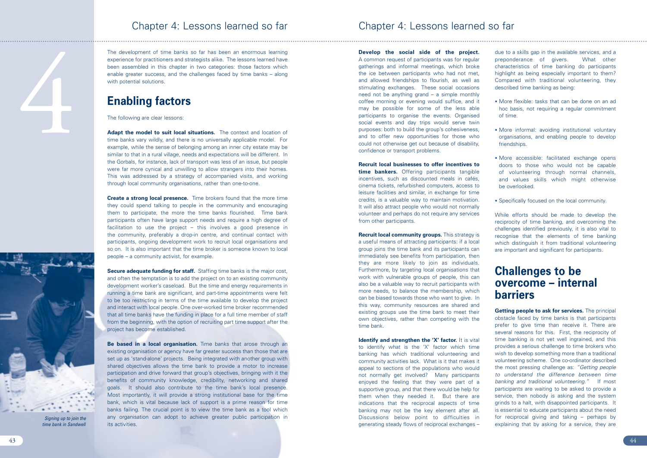**Develop the social side of the project.** A common request of participants was for regular gatherings and informal meetings, which broke the ice between participants who had not met, and allowed friendships to flourish, as well as stimulating exchanges. These social occasions need not be anything grand – a simple monthly coffee morning or evening would suffice, and it may be possible for some of the less able participants to organise the events. Organised social events and day trips would serve twin purposes: both to build the group's cohesiveness, and to offer new opportunities for those who could not otherwise get out because of disability, confidence or transport problems.

**Recruit local businesses to offer incentives to time bankers.** Offering participants tangible incentives, such as discounted meals in cafés, cinema tickets, refurbished computers, access to leisure facilities and similar, in exchange for time credits, is a valuable way to maintain motivation. It will also attract people who would not normally volunteer and perhaps do not require any services from other participants.

**Identify and strengthen the 'X' factor.** It is vital to identify what is the 'X' factor which time banking has which traditional volunteering and community activities lack. What is it that makes it appeal to sections of the populations who would not normally get involved? Many participants enjoyed the feeling that they were part of a supportive group, and that there would be help for them when they needed it. But there are indications that the reciprocal aspects of time banking may not be the key element after all. Discussions below point to difficulties in generating steady flows of reciprocal exchanges –



4

**Recruit local community groups.** This strategy is a useful means of attracting participants: if a local group joins the time bank and its participants can immediately see benefits from participation, then they are more likely to join as individuals. Furthermore, by targeting local organisations that work with vulnerable groups of people, this can also be a valuable way to recruit participants with more needs, to balance the membership, which can be biased towards those who want to give. In this way, community resources are shared and existing groups use the time bank to meet their own objectives, rather than competing with the time bank.

due to a skills gap in the available services, and a preponderance of givers. What other characteristics of time banking do participants highlight as being especially important to them? Compared with traditional volunteering, they described time banking as being:

Adapt the model to suit local situations. The context and location of time banks vary wildly, and there is no universally applicable model. For example, while the sense of belonging among an inner city estate may be similar to that in a rural village, needs and expectations will be different. In the Gorbals, for instance, lack of transport was less of an issue, but people were far more cynical and unwilling to allow strangers into their homes. This was addressed by a strategy of accompanied visits, and working through local community organisations, rather than one-to-one.

- More flexible: tasks that can be done on an ad hoc basis, not requiring a regular commitment of time.
- More informal: avoiding institutional voluntary organisations, and enabling people to develop friendships.
- More accessible: facilitated exchange opens doors to those who would not be capable of volunteering through normal channels, and values skills which might otherwise be overlooked.
- Specifically focused on the local community.

**Create a strong local presence.** Time brokers found that the more time they could spend talking to people in the community and encouraging them to participate, the more the time banks flourished. Time bank participants often have large support needs and require a high degree of facilitation to use the project – this involves a good presence in the community, preferably a drop-in centre, and continual contact with participants, ongoing development work to recruit local organisations and so on. It is also important that the time broker is someone known to local people – a community activist, for example.

While efforts should be made to develop the reciprocity of time banking, and overcoming the challenges identified previously, it is also vital to recognise that the elements of time banking which distinguish it from traditional volunteering are important and significant for participants.

**Secure adequate funding for staff.** Staffing time banks is the major cost, and often the temptation is to add the project on to an existing community development worker's caseload. But the time and energy requirements in running a time bank are significant, and part-time appointments were felt to be too restricting in terms of the time available to develop the project and interact with local people. One over-worked time broker recommended that all time banks have the funding in place for a full time member of staff from the beginning, with the option of recruiting part time support after the project has become established.

## **Challenges to be overcome – internal barriers**

**Be based in a local organisation.** Time banks that arose through an existing organisation or agency have far greater success than those that are set up as 'stand-alone' projects. Being integrated with another group with shared objectives allows the time bank to provide a motor to increase participation and drive forward that group's objectives, bringing with it the benefits of community knowledge, credibility, networking and shared goals. It should also contribute to the time bank's local presence. Most importantly, it will provide a strong institutional base for the time bank, which is vital because lack of support is a prime reason for time banks failing. The crucial point is to view the time bank as a tool which any organisation can adopt to achieve greater public participation in its activities.

**Getting people to ask for services.** The principal obstacle faced by time banks is that participants prefer to give time than receive it. There are several reasons for this. First, the reciprocity of time banking is not yet well ingrained, and this provides a serious challenge to time brokers who wish to develop something more than a traditional volunteering scheme. One co-ordinator described the most pressing challenge as: *"Getting people to understand the difference between time banking and traditional volunteering."* If most participants are waiting to be asked to provide a service, then nobody is asking and the system grinds to a halt, with disappointed participants. It is essential to educate participants about the need for reciprocal giving and taking – perhaps by explaining that by asking for a service, they are

The development of time banks so far has been an enormous learning experience for practitioners and strategists alike. The lessons learned have been assembled in this chapter in two categories: those factors which enable greater success, and the challenges faced by time banks – along with potential solutions.

## **Enabling factors**

The following are clear lessons:

## Chapter 4: Lessons learned so far

*Signing up to join the time bank in Sandwell*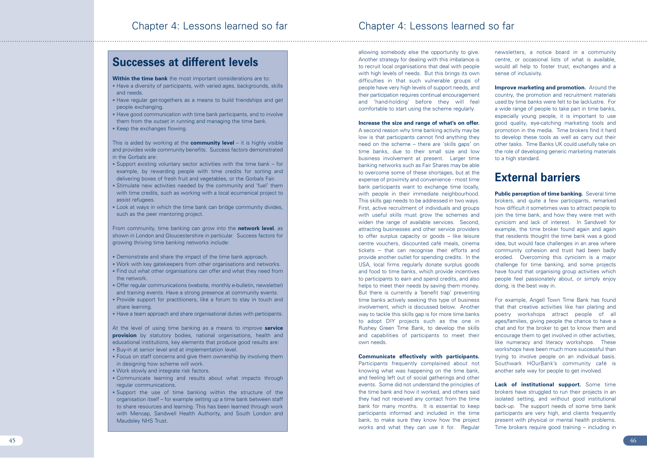allowing somebody else the opportunity to give. Another strategy for dealing with this imbalance is to recruit local organisations that deal with people with high levels of needs. But this brings its own difficulties in that such vulnerable groups of people have very high levels of support needs, and their participation requires continual encouragement and 'hand-holding' before they will feel comfortable to start using the scheme regularly.

## **Increase the size and range of what's on offer.**

A second reason why time banking activity may be low is that participants cannot find anything they need on the scheme – there are 'skills gaps' on time banks, due to their small size and low business involvement at present. Larger time banking networks such as Fair Shares may be able to overcome some of these shortages, but at the expense of proximity and convenience - most time bank participants want to exchange time locally, with people in their immediate neighbourhood. This skills gap needs to be addressed in two ways. First, active recruitment of individuals and groups with useful skills must grow the schemes and widen the range of available services. Second, attracting businesses and other service providers to offer surplus capacity or goods – like leisure centre vouchers, discounted café meals, cinema tickets – that can recognise their efforts and provide another outlet for spending credits. In the USA, local firms regularly donate surplus goods and food to time banks, which provide incentives to participants to earn and spend credits, and also helps to meet their needs by saving them money. But there is currently a 'benefit trap' preventing time banks actively seeking this type of business involvement, which is discussed below. Another way to tackle this skills gap is for more time banks to adopt DIY projects such as the one in Rushey Green Time Bank, to develop the skills and capabilities of participants to meet their own needs.

**Improve marketing and promotion.** Around the country, the promotion and recruitment materials used by time banks were felt to be lacklustre. For a wide range of people to take part in time banks, especially young people, it is important to use good quality, eye-catching marketing tools and promotion in the media. Time brokers find it hard to develop these tools as well as carry out their other tasks. Time Banks UK could usefully take on the role of developing generic marketing materials to a high standard.

**Public perception of time banking.** Several time brokers, and quite a few participants, remarked how difficult it sometimes was to attract people to join the time bank, and how they were met with cynicism and lack of interest. In Sandwell for example, the time broker found again and again that residents thought the time bank was a good idea, but would face challenges in an area where community cohesion and trust had been badly eroded. Overcoming this cynicism is a major challenge for time banking, and some projects have found that organising group activities which people feel passionately about, or simply enjoy doing, is the best way in.

## **Communicate effectively with participants.**

Participants frequently complained about not knowing what was happening on the time bank, and feeling left out of social gatherings and other events. Some did not understand the principles of the time bank and how it worked, and others said they had not received any contact from the time bank for many months. It is essential to keep participants informed and included in the time bank, to make sure they know how the project works and what they can use it for. Regular

**Lack of institutional support.** Some time brokers have struggled to run their projects in an isolated setting, and without good institutional back-up. The support needs of some time bank participants are very high, and clients frequently present with physical or mental health problems. Time brokers require good training – including in

newsletters, a notice board in a community centre, or occasional lists of what is available, would all help to foster trust, exchanges and a sense of inclusivity.

# **External barriers**

For example, Angell Town Time Bank has found that that creative activities like hair plaiting and poetry workshops attract people of all ages/families, giving people the chance to have a chat and for the broker to get to know them and encourage them to get involved in other activities, like numeracy and literacy workshops. These workshops have been much more successful than trying to involve people on an individual basis. Southwark HOurBank's community café is another safe way for people to get involved.

## **Successes at different levels**

**Within the time bank** the most important considerations are to:

- Have a diversity of participants, with varied ages, backgrounds, skills and needs.
- Have regular get-togethers as a means to build friendships and get people exchanging.
- Have good communication with time bank participants, and to involve them from the outset in running and managing the time bank.
- Keep the exchanges flowing.

This is aided by working at the **community level** – it is highly visible and provides wide community benefits. Success factors demonstrated in the Gorbals are:

- Support existing voluntary sector activities with the time bank for example, by rewarding people with time credits for sorting and delivering boxes of fresh fruit and vegetables, or the Gorbals Fair.
- Stimulate new activities needed by the community and 'fuel' them with time credits, such as working with a local ecumenical project to assist refugees.
- Look at ways in which the time bank can bridge community divides, such as the peer mentoring project.

From community, time banking can grow into the **network level**, as shown in London and Gloucestershire in particular. Success factors for growing thriving time banking networks include:

- Demonstrate and share the impact of the time bank approach.
- Work with key gatekeepers from other organisations and networks.
- Find out what other organisations can offer and what they need from the network.
- Offer regular communications (website, monthly e-bulletin, newsletter) and training events. Have a strong presence at community events.
- Provide support for practitioners, like a forum to stay in touch and share learning.
- Have a team approach and share organisational duties with participants.

At the level of using time banking as a means to improve **service provision** by statutory bodies, national organisations, health and educational institutions, key elements that produce good results are:

- Buy-in at senior level and at implementation level.
- Focus on staff concerns and give them ownership by involving them in designing how scheme will work.
- Work slowly and integrate risk factors.
- Communicate learning and results about what impacts through regular communications.
- Support the use of time banking within the structure of the organisation itself – for example setting up a time bank between staff to share resources and learning. This has been learned through work with Mencap, Sandwell Health Authority, and South London and Maudsley NHS Trust.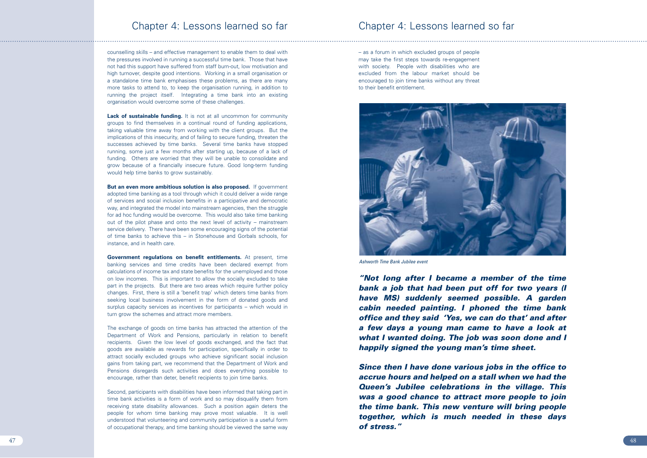– as a forum in which excluded groups of people may take the first steps towards re-engagement with society. People with disabilities who are excluded from the labour market should be encouraged to join time banks without any threat to their benefit entitlement.

counselling skills – and effective management to enable them to deal with the pressures involved in running a successful time bank. Those that have not had this support have suffered from staff burn-out, low motivation and high turnover, despite good intentions. Working in a small organisation or a standalone time bank emphasises these problems, as there are many more tasks to attend to, to keep the organisation running, in addition to running the project itself. Integrating a time bank into an existing organisation would overcome some of these challenges.

**Lack of sustainable funding.** It is not at all uncommon for community groups to find themselves in a continual round of funding applications, taking valuable time away from working with the client groups. But the implications of this insecurity, and of failing to secure funding, threaten the successes achieved by time banks. Several time banks have stopped running, some just a few months after starting up, because of a lack of funding. Others are worried that they will be unable to consolidate and grow because of a financially insecure future. Good long-term funding would help time banks to grow sustainably.

**But an even more ambitious solution is also proposed.** If government adopted time banking as a tool through which it could deliver a wide range of services and social inclusion benefits in a participative and democratic way, and integrated the model into mainstream agencies, then the struggle for ad hoc funding would be overcome. This would also take time banking out of the pilot phase and onto the next level of activity – mainstream service delivery. There have been some encouraging signs of the potential of time banks to achieve this – in Stonehouse and Gorbals schools, for instance, and in health care.

**Government regulations on benefit entitlements.** At present, time banking services and time credits have been declared exempt from calculations of income tax and state benefits for the unemployed and those on low incomes. This is important to allow the socially excluded to take part in the projects. But there are two areas which require further policy changes. First, there is still a 'benefit trap' which deters time banks from seeking local business involvement in the form of donated goods and surplus capacity services as incentives for participants – which would in turn grow the schemes and attract more members.

The exchange of goods on time banks has attracted the attention of the Department of Work and Pensions, particularly in relation to benefit recipients. Given the low level of goods exchanged, and the fact that goods are available as rewards for participation, specifically in order to attract socially excluded groups who achieve significant social inclusion gains from taking part, we recommend that the Department of Work and Pensions disregards such activities and does everything possible to encourage, rather than deter, benefit recipients to join time banks.

Second, participants with disabilities have been informed that taking part in time bank activities is a form of work and so may disqualify them from receiving state disability allowances. Such a position again deters the people for whom time banking may prove most valuable. It is well understood that volunteering and community participation is a useful form of occupational therapy, and time banking should be viewed the same way

## Chapter 4: Lessons learned so far

*"Not long after I became a member of the time bank a job that had been put off for two years (I have MS) suddenly seemed possible. A garden cabin needed painting. I phoned the time bank office and they said 'Yes, we can do that' and after a few days a young man came to have a look at what I wanted doing. The job was soon done and I happily signed the young man's time sheet.*

*Since then I have done various jobs in the office to accrue hours and helped on a stall when we had the Queen's Jubilee celebrations in the village. This was a good chance to attract more people to join the time bank. This new venture will bring people together, which is much needed in these days of stress."*



*Ashworth Time Bank Jubilee event*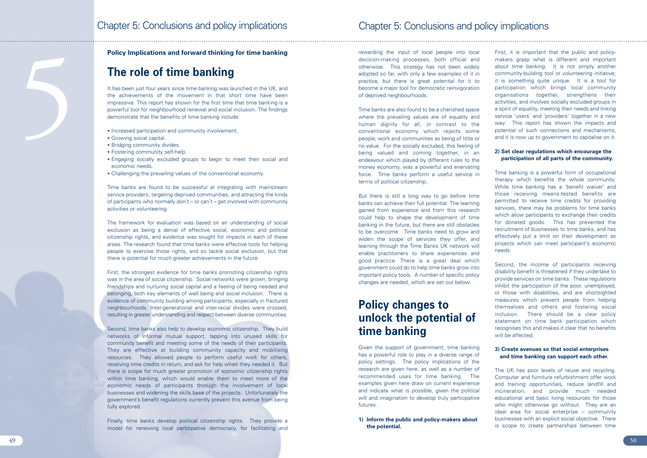rewarding the input of local people into local decision-making processes, both official and otherwise. This strategy has not been widely adopted so far, with only a few examples of it in practice, but there is great potential for it to become a major tool for democratic reinvigoration of deprived neighbourhoods.

Time banks are also found to be a cherished space where the prevailing values are of equality and human dignity for all, in contrast to the conventional economy which rejects some people, work and communities as being of little or no value. For the socially excluded, this feeling of being valued and coming together, in an endeavour which played by different rules to the money economy, was a powerful and enervating force. Time banks perform a useful service in terms of political citizenship.

But there is still a long way to go before time banks can achieve their full potential. The learning gained from experience and from this research could help to shape the development of time banking in the future, but there are still obstacles to be overcome. Time banks need to grow and widen the scope of services they offer, and learning through the Time Banks UK network will enable practitioners to share experiences and good practice. There is a great deal which government could do to help time banks grow into important policy tools. A number of specific policy changes are needed, which are set out below.

# **Policy changes to unlock the potential of time banking**

Given the support of government, time banking has a powerful role to play in a diverse range of policy settings. The policy implications of the research are given here, as well as a number of recommended uses for time banking. The examples given here draw on current experience and indicate what is possible, given the political will and imagination to develop truly participative futures.

**1) Inform the public and policy-makers about the potential.**

First, it is important that the public and policymakers grasp what is different and important about time banking. It is not simply another community-building tool or volunteering initiative; it is something quite unique. It is a tool for participation which brings local community organisations together, strengthens their activities, and involves socially excluded groups in a spirit of equality, meeting their needs and linking service 'users' and 'providers' together in a new way. This report has shown the impacts and potential of such connections and mechanisms, and it is now up to government to capitalise on it.

It has been just four years since time banking was launched in the UK, and the achievements of the movement in that short time have been impressive. This report has shown for the first time that time banking is a powerful tool for neighbourhood renewal and social inclusion. The findings demonstrate that the benefits of time banking include:

## **2) Set clear regulations which encourage the participation of all parts of the community.**

Time banking is a powerful form of occupational therapy which benefits the whole community. While time banking has a 'benefit waiver' and those receiving means-tested benefits are permitted to receive time credits for providing services, there may be problems for time banks which allow participants to exchange their credits for donated goods. This has prevented the recruitment of businesses to time banks, and has effectively put a limit on their development as projects which can meet participant's economic needs.

Second, the income of participants receiving disability benefit is threatened if they undertake to provide services on time banks. These regulations inhibit the participation of the poor, unemployed, or those with disabilities, and are shortsighted measures which prevent people from helping themselves and others and fostering social inclusion. There should be a clear policy statement on time bank participation which recognises this and makes it clear that no benefits will be affected.

## **3) Create avenues so that social enterprises and time banking can support each other.**

The UK has poor levels of reuse and recycling. Computer and furniture refurbishment offer work and training opportunities, reduce landfill and incineration, and provide much needed educational and basic living resources for those who might otherwise go without. They are an ideal area for social enterprise – community businesses with an explicit social objective. There is scope to create partnerships between time

## **Policy Implications and forward thinking for time banking**

# **The role of time banking**

- Increased participation and community involvement.
- Growing social capital.
- 
- Bridging community divides. Fostering community self-help.
- Engaging socially excluded groups to begin to meet their social and economic needs.
- Challenging the prevailing values of the conventional economy.

Time banks are found to be successful at integrating with mainstream service providers, targeting deprived communities, and attracting the kinds of participants who normally don't – or can't – get involved with community activities or volunteering.

The framework for evaluation was based on an understanding of social exclusion as being a denial of effective social, economic and political citizenship rights, and evidence was sought for impacts in each of these areas. The research found that time banks were effective tools for helping people to exercise those rights, and so tackle social exclusion, but that there is potential for much greater achievements in the future.

First, the strongest evidence for time banks promoting citizenship rights was in the area of social citizenship. Social networks were grown, bringing friendships and nurturing social capital and a feeling of being needed and belonging, both key elements of well being and social inclusion. There is evidence of community building among participants, especially in fractured neighbourhoods. Inter-generational and inter-racial divides were crossed, resulting in greater understanding and respect between diverse communities.

Second, time banks also help to develop economic citizenship. They build networks of informal mutual support, tapping into unused skills for community benefit and meeting some of the needs of their participants. They are effective at building community capacity and mobilising resources. They allowed people to perform useful work for others, receiving time credits in return, and ask for help when they needed it. But there is scope for much greater promotion of economic citizenship rights within time banking, which would enable them to meet more of the economic needs of participants through the involvement of local businesses and widening the skills base of the projects. Unfortunately the government's benefit regulations currently prevent this avenue from being fully explored.

Finally, time banks develop political citizenship rights. They provide a model for renewing local participative democracy, for facilitating and

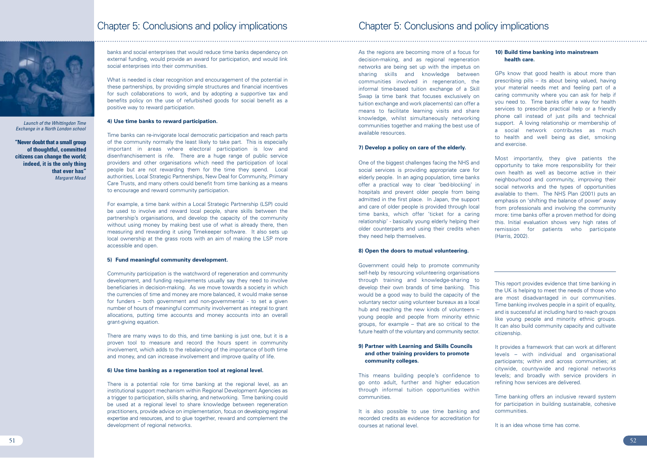As the regions are becoming more of a focus for decision-making, and as regional regeneration networks are being set up with the impetus on sharing skills and knowledge between communities involved in regeneration, the informal time-based tuition exchange of a Skill Swap (a time bank that focuses exclusively on tuition exchange and work placements) can offer a means to facilitate learning visits and share knowledge, whilst simultaneously networking communities together and making the best use of available resources.

## **7) Develop a policy on care of the elderly.**

One of the biggest challenges facing the NHS and social services is providing appropriate care for elderly people. In an aging population, time banks offer a practical way to clear 'bed-blocking' in hospitals and prevent older people from being admitted in the first place. In Japan, the support and care of older people is provided through local time banks, which offer 'ticket for a caring relationship' - basically young elderly helping their older counterparts and using their credits when they need help themselves.

## **8) Open the doors to mutual volunteering.**

Government could help to promote community self-help by resourcing volunteering organisations through training and knowledge-sharing to develop their own brands of time banking. This would be a good way to build the capacity of the voluntary sector using volunteer bureaux as a local hub and reaching the new kinds of volunteers – young people and people from minority ethnic groups, for example – that are so critical to the future health of the voluntary and community sector.

## **9) Partner with Learning and Skills Councils and other training providers to promote community colleges.**

This means building people's confidence to go onto adult, further and higher education through informal tuition opportunities within communities.

It is also possible to use time banking and recorded credits as evidence for accreditation for courses at national level.

## **10) Build time banking into mainstream health care.**

GPs know that good health is about more than prescribing pills – its about being valued, having your material needs met and feeling part of a caring community where you can ask for help if you need to. Time banks offer a way for health services to prescribe practical help or a friendly phone call instead of just pills and technical support. A loving relationship or membership of a social network contributes as much to health and well being as diet, smoking and exercise.

Most importantly, they give patients the opportunity to take more responsibility for their own health as well as become active in their neighbourhood and community, improving their social networks and the types of opportunities available to them. The NHS Plan (2001) puts an emphasis on 'shifting the balance of power' away from professionals and involving the community more: time banks offer a proven method for doing this. Initial evaluation shows very high rates of remission for patients who participate (Harris, 2002).

This report provides evidence that time banking in the UK is helping to meet the needs of those who are most disadvantaged in our communities. Time banking involves people in a spirit of equality, and is successful at including hard to reach groups like young people and minority ethnic groups. It can also build community capacity and cultivate citizenship.

It provides a framework that can work at different levels – with individual and organisational participants; within and across communities; at citywide, countywide and regional networks levels; and broadly with service providers in refining how services are delivered.

Time banking offers an inclusive reward system for participation in building sustainable, cohesive communities.

It is an idea whose time has come.



banks and social enterprises that would reduce time banks dependency on external funding, would provide an award for participation, and would link social enterprises into their communities.

What is needed is clear recognition and encouragement of the potential in these partnerships, by providing simple structures and financial incentives for such collaborations to work, and by adopting a supportive tax and benefits policy on the use of refurbished goods for social benefit as a positive way to reward participation.

### **4) Use time banks to reward participation.**

Time banks can re-invigorate local democratic participation and reach parts of the community normally the least likely to take part. This is especially important in areas where electoral participation is low and disenfranchisement is rife. There are a huge range of public service providers and other organisations which need the participation of local people but are not rewarding them for the time they spend. Local authorities, Local Strategic Partnerships, New Deal for Community, Primary Care Trusts, and many others could benefit from time banking as a means to encourage and reward community participation.

For example, a time bank within a Local Strategic Partnership (LSP) could be used to involve and reward local people, share skills between the partnership's organisations, and develop the capacity of the community without using money by making best use of what is already there, then measuring and rewarding it using Timekeeper software. It also sets up local ownership at the grass roots with an aim of making the LSP more accessible and open.

### **5) Fund meaningful community development.**

Community participation is the watchword of regeneration and community development, and funding requirements usually say they need to involve beneficiaries in decision-making. As we move towards a society in which the currencies of time and money are more balanced, it would make sense for funders – both government and non-governmental - to set a given number of hours of meaningful community involvement as integral to grant allocations, putting time accounts and money accounts into an overall grant-giving equation.

There are many ways to do this, and time banking is just one, but it is a proven tool to measure and record the hours spent in community involvement, which adds to the rebalancing of the importance of both time and money, and can increase involvement and improve quality of life.

## **6) Use time banking as a regeneration tool at regional level.**

There is a potential role for time banking at the regional level, as an institutional support mechanism within Regional Development Agencies as a trigger to participation, skills sharing, and networking. Time banking could be used at a regional level to share knowledge between regeneration practitioners, provide advice on implementation, focus on developing regional expertise and resources, and to glue together, reward and complement the development of regional networks.

## Chapter 5: Conclusions and policy implications

*Launch of the Whittingdon Time Exchange in a North London school*

**"Never doubt that a small group of thoughtful, committed citizens can change the world; indeed, it is the only thing that ever has"** *Margaret Mead*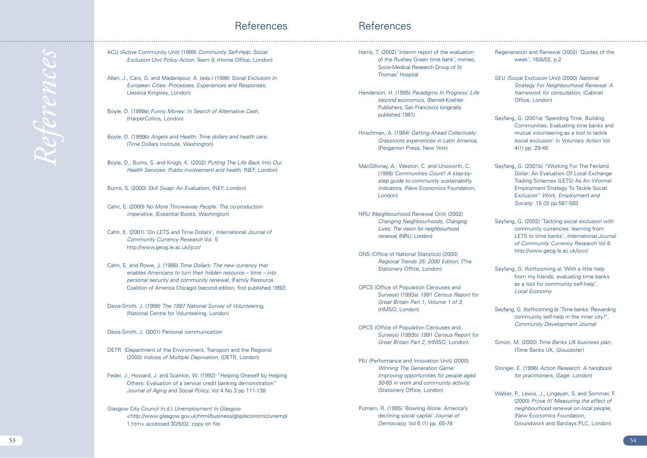- Harris, T. (2002) 'Interim report of the evaluation of the Rushey Green time bank', mimeo, Socio-Medical Research Group of St Thomas' Hospital
- Henderson, H. (1995) *Paradigms In Progress: Life beyond economics,* (Berrett-Koehler Publishers, San Francisco) (originally published 1991)
- Hirschman, A. (1984) *Getting Ahead Collectively: Grassroots experiences in Latin America,* (Pergamon Press, New York)
- MacGillivray, A., Weston, C. and Unsworth, C. (1998) *Communities Count! A step-bystep guide to community sustainability indicators,* (New Economics Foundation, London)
- NRU (Neighbourhood Renewal Unit) (2002) *Changing Neighbourhoods, Changing Lives: The vision for neighbourhood renewal,* (NRU, London)
- ONS (Office of National Statistics) (2000) *Regional Trends 35: 2000 Edition,* (The Stationery Office, London)
- OPCS (Office of Population Censuses and Surveys) (1993a) *1991 Census Report for Great Britain Part 1, Volume 1 of 3,* (HMSO, London)
- OPCS (Office of Population Censuses and Surveys) (1993b) *1991 Census Report for Great Britain Part 2,* (HMSO, London)
- PIU (Performance and Innovation Unit) (2000) *Winning The Generation Game: Improving opportunities for people aged 50-65 in work and community activity,* (Stationery Office, London)
- Putnam, R. (1995) 'Bowling Alone: America's declining social capital' J*ournal of Democracy,* Vol 6 (1) pp. 65-78
- Regeneration and Renewal (2002) 'Quotes of the week', 16/8/02, p.2
- SEU (Social Exclusion Unit) (2000) *National Strategy For Neighbourhood Renewal: A framework for consultation,* (Cabinet Office, London)
- Seyfang, G. (2001a) 'Spending Time, Building Communities: Evaluating time banks and mutual volunteering as a tool to tackle social exclusion' in *Voluntary Action* Vol 4(1) pp. 29-48
- Seyfang, G. (2001b) "Working For The Fenland Dollar: An Evaluation Of Local Exchange Trading Schemes (LETS) As An Informal Employment Strategy To Tackle Social Exclusion" *Work, Employment and Society* 15 (3) pp.581-593
- Seyfang, G. (2002) 'Tackling social exclusion with community currencies: learning from LETS to time banks', *International Journal of Community Currency Research* Vol 6 http://www.geog.le.ac.uk/ijccr/
- Seyfang, G. (forthcoming a) 'With a little help from my friends: evaluating time banks as a tool for community self-help', *Local Economy*
- Seyfang, G. (forthcoming b) 'Time banks: Rewarding community self-help in the inner city?', *Community Development Journal*
- Simon, M. (2000) *Time Banks UK business plan,* (Time Banks UK, Gloucester)
- Stringer, E. (1996) *Action Research: A handbook for practitioners,* (Sage: London)
- Walker, P., Lewis, J., Lingayah, S. and Sommer, F. (2000) *Prove It! Measuring the effect of neighbourhood renewal on local people,* (New Economics Foundation, Groundwork and Barclays PLC, London)

## References

- ACU (Active Community Unit) (1999) *Community Self-Help: Social Exclusion Unit Policy Action Team 9,* (Home Office, London)
- Allen, J., Cars, G. and Madanipour, A. (eds.) (1998) *Social Exclusion In European Cities: Processes, Experiences and Responses,* (Jessica Kingsley, London)
- Boyle, D. (1999a) *Funny Money: In Search of Alternative Cash,* (HarperCollins, London)
- Boyle, D. (1999b) *Angels and Health: Time dollars and health care,* (Time Dollars Institute, Washington)
- Boyle, D., Burns, S. and Krogh, K. (2002) *Putting The Life Back Into Our Health Services: Public involvement and health,* (NEF, London)
- Burns, S. (2000) *Skill Swap: An Evaluation,* (NEF, London)
- Cahn, E. (2000) *No More Throwaway People: The co-production imperative,* (Essential Books, Washington)
- Cahn, E. (2001) 'On LETS and Time Dollars', *International Journal of Community Currency Research* Vol. 5 http://www.geog.le.ac.uk/ijccr/
- Cahn, E. and Rowe, J. (1998) *Time Dollars: The new currency that enables Americans to turn their hidden resource – time – into personal security and community renewal,* (Family Resource Coalition of America Chicago) [second edition, first published 1992]
- Davis-Smith, J. (1998) *The 1997 National Survey of Volunteering,* (National Centre for Volunteering, London)
- Davis-Smith, J. (2001) Personal communication
- DETR (Department of the Environment, Transport and the Regions) (2000) *Indices of Multiple Deprivation,* (DETR, London)
- Feder, J., Howard, J. and Scanlon, W. (1992) "Helping Oneself by Helping Others: Evaluation of a service credit banking demonstration" *Journal of Aging and Social Policy,* Vol 4 No 3 pp 111-138
- Glasgow City Council (n.d.) *Unemployment In Glasgow* <http://www.glasgow.gov.uk/html/business/gbp/economic/unempl 1.htm> accessed 30/5/02, copy on file.

## References

*References*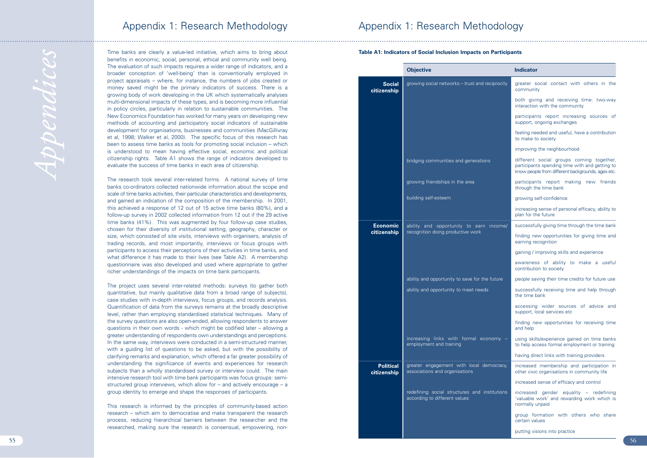Time banks are clearly a value-led initiative, which aims to bring about benefits in economic, social, personal, ethical and community well being. The evaluation of such impacts requires a wider range of indicators, and a broader conception of 'well-being' than is conventionally employed in project appraisals – where, for instance, the numbers of jobs created or money saved might be the primary indicators of success. There is a growing body of work developing in the UK which systematically analyses multi-dimensional impacts of these types, and is becoming more influential in policy circles, particularly in relation to sustainable communities. The New Economics Foundation has worked for many years on developing new methods of accounting and participatory social indicators of sustainable development for organisations, businesses and communities (MacGillivray et al, 1998; Walker et al, 2000). The specific focus of this research has been to assess time banks as tools for promoting social inclusion – which is understood to mean having effective social, economic and political citizenship rights. Table A1 shows the range of indicators developed to evaluate the success of time banks in each area of citizenship.

The research took several inter-related forms. A national survey of time banks co-ordinators collected nationwide information about the scope and scale of time banks activities, their particular characteristics and developments, and gained an indication of the composition of the membership. In 2001, this achieved a response of 12 out of 15 active time banks (80%), and a follow-up survey in 2002 collected information from 12 out if the 29 active time banks (41%). This was augmented by four follow-up case studies, chosen for their diversity of institutional setting, geography, character or size, which consisted of site visits, interviews with organisers, analysis of trading records, and most importantly, interviews or focus groups with participants to access their perceptions of their activities in time banks, and what difference it has made to their lives (see Table A2). A membership questionnaire was also developed and used where appropriate to gather richer understandings of the impacts on time bank participants.

The project uses several inter-related methods: surveys (to gather both quantitative, but mainly qualitative data from a broad range of subjects), case studies with in-depth interviews, focus groups, and records analysis. Quantification of data from the surveys remains at the broadly descriptive level, rather than employing standardised statistical techniques. Many of the survey questions are also open-ended, allowing respondents to answer questions in their own words - which might be codified later – allowing a greater understanding of respondents own understandings and perceptions. In the same way, interviews were conducted in a semi-structured manner, with a guiding list of questions to be asked, but with the possibility of clarifying remarks and explanation, which offered a far greater possibility of understanding the significance of events and experiences for research subjects than a wholly standardised survey or interview could. The main intensive research tool with time bank participants was focus groups: semistructured group interviews, which allow for – and actively encourage – a group identity to emerge and shape the responses of participants.

This research is informed by the principles of community-based action research – which aim to democratise and make transparent the research process, reducing hierarchical barriers between the researcher and the researched, making sure the research is consensual, empowering, non-

## Appendix 1: Research Methodology



|            | <b>Indicator</b>                                                                                                                                |
|------------|-------------------------------------------------------------------------------------------------------------------------------------------------|
| eciprocity | greater social contact with others in the<br>community                                                                                          |
|            | both giving and receiving time: two-way<br>interaction with the community                                                                       |
|            | participants report increasing sources<br>of<br>support, ongoing exchanges                                                                      |
|            | feeling needed and useful, have a contribution<br>to make to society                                                                            |
|            | improving the neighbourhood                                                                                                                     |
| S          | different social groups coming together,<br>participants spending time with and getting to<br>know people from different backgrounds, ages etc. |
|            | participants report making<br>new friends<br>through the time bank                                                                              |
|            | growing self-confidence                                                                                                                         |
|            | increasing sense of personal efficacy, ability to<br>plan for the future                                                                        |
| income/    | successfully giving time through the time bank                                                                                                  |
|            | finding new opportunities for giving time and<br>earning recognition                                                                            |
|            | gaining / improving skills and experience                                                                                                       |
|            | awareness of ability to make a useful<br>contribution to society                                                                                |
| future     | people saving their time credits for future use                                                                                                 |
|            | successfully receiving time and help through<br>the time bank                                                                                   |
|            | accessing wider sources<br>of<br>advice<br>and<br>support, local services etc                                                                   |
|            | finding new opportunities for receiving time<br>and help                                                                                        |
| nomy $-$   | using skills/experience gained on time banks<br>to help access formal employment or training                                                    |
|            | having direct links with training providers                                                                                                     |
| mocracy,   | increased membership and participation in<br>other civic organisations in community life                                                        |
|            | increased sense of efficacy and control                                                                                                         |
| stitutions | increased gender equality - redefining<br>'valuable work' and rewarding work which is<br>normally unpaid                                        |
|            | group formation with others who<br>share<br>certain values                                                                                      |
|            | putting visions into practice                                                                                                                   |

**Table A1: Indicators of Social Inclusion Impacts on Participants**

*Appendices*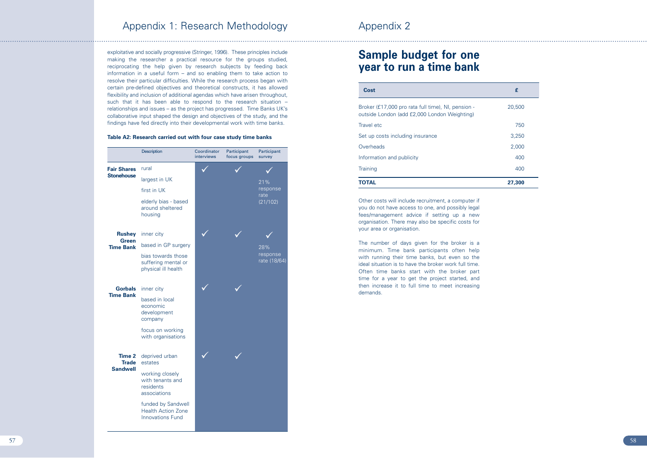## Appendix 2

exploitative and socially progressive (Stringer, 1996). These principles include making the researcher a practical resource for the groups studied, reciprocating the help given by research subjects by feeding back information in a useful form – and so enabling them to take action to resolve their particular difficulties. While the research process began with certain pre-defined objectives and theoretical constructs, it has allowed flexibility and inclusion of additional agendas which have arisen throughout, such that it has been able to respond to the research situation – relationships and issues – as the project has progressed. Time Banks UK's collaborative input shaped the design and objectives of the study, and the findings have fed directly into their developmental work with time banks.

## **Table A2: Research carried out with four case study time banks**

## Appendix 1: Research Methodology

### Travel etc

### **Overheads**

### **Training**

## **Sample budget for one year to run a time bank**

Other costs will include recruitment, a computer if you do not have access to one, and possibly legal fees/management advice if setting up a new organisation. There may also be specific costs for your area or organisation.

|                                                | Description                                                                | Coordinator<br>interviews | Participant<br>focus groups | Participant<br>survey                                           |
|------------------------------------------------|----------------------------------------------------------------------------|---------------------------|-----------------------------|-----------------------------------------------------------------|
| <b>Fair Shares</b>                             | rural                                                                      |                           |                             |                                                                 |
| <b>Stonehouse</b><br>Green<br><b>Time Bank</b> | largest in UK                                                              |                           |                             | 21%                                                             |
|                                                | first in UK                                                                |                           |                             | response<br>rate<br>(21/102)<br>28%<br>response<br>rate (18/64) |
|                                                | elderly bias - based<br>around sheltered<br>housing                        |                           |                             |                                                                 |
| <b>Rushey</b>                                  | inner city                                                                 |                           |                             |                                                                 |
| <b>Time Bank</b>                               | based in GP surgery                                                        |                           |                             |                                                                 |
|                                                | bias towards those<br>suffering mental or<br>physical ill health           |                           |                             |                                                                 |
| <b>Gorbals</b>                                 | inner city                                                                 |                           |                             |                                                                 |
|                                                | based in local<br>economic<br>development<br>company                       |                           |                             |                                                                 |
|                                                | focus on working<br>with organisations                                     |                           |                             |                                                                 |
| Time 2<br><b>Trade</b><br><b>Sandwell</b>      | deprived urban<br>estates                                                  |                           |                             |                                                                 |
|                                                | working closely<br>with tenants and<br>residents<br>associations           |                           |                             |                                                                 |
|                                                | funded by Sandwell<br><b>Health Action Zone</b><br><b>Innovations Fund</b> |                           |                             |                                                                 |

The number of days given for the broker is a minimum. Time bank participants often help with running their time banks, but even so the ideal situation is to have the broker work full time. Often time banks start with the broker part time for a year to get the project started, and then increase it to full time to meet increasing demands.

| Cost                                                                                               | £      |
|----------------------------------------------------------------------------------------------------|--------|
| Broker (£17,000 pro rata full time), NI, pension -<br>outside London (add £2,000 London Weighting) | 20,500 |
| Travel etc                                                                                         | 750    |
| Set up costs including insurance                                                                   | 3,250  |
| Overheads                                                                                          | 2,000  |
| Information and publicity                                                                          | 400    |
| Training                                                                                           | 400    |
| <b>TOTAL</b>                                                                                       | 27,300 |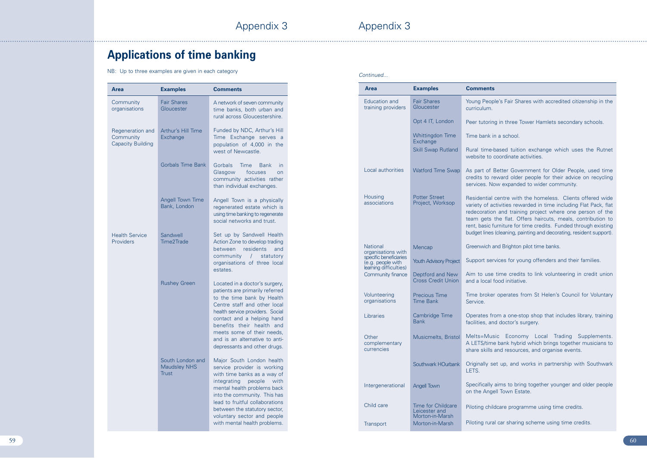# **Applications of time banking**

NB: Up to three examples are given in each category

ople's Fair Shares with accredited citizenship in the

ring in three Tower Hamlets secondary schools.

 $\sin$  a school.

e-based tuition exchange which uses the Rutnet o coordinate activities.

f Better Government for Older People, used time reward older people for their advice on recycling Now expanded to wider community.

al centre with the homeless. Clients offered wide activities rewarded in time including Flat Pack, flat ion and training project where one person of the s the flat. Offers haircuts, meals, contribution to c furniture for time credits. Funded through existing es (cleaning, painting and decorating, resident support).

n and Brighton pilot time banks.

ervices for young offenders and their families.

se time credits to link volunteering in credit union al food initiative.

ker operates from St Helen's Council for Voluntary

from a one-stop shop that includes library, training and doctor's surgery.

usic Economy Local Trading Supplements. me bank hybrid which brings together musicians to Is and resources, and organise events.

set up, and works in partnership with Southwark

ly aims to bring together younger and older people gell Town Estate.

hildcare programme using time credits.

aral car sharing scheme using time credits.

| <b>Area</b>                                               | <b>Examples</b>                         | <b>Comments</b>                                                                             | <b>Area</b>                                                           | <b>Examples</b>                            |
|-----------------------------------------------------------|-----------------------------------------|---------------------------------------------------------------------------------------------|-----------------------------------------------------------------------|--------------------------------------------|
| Community<br>organisations                                | <b>Fair Shares</b><br>Gloucester        | A network of seven community<br>time banks, both urban and<br>rural across Gloucestershire. | <b>Education and</b><br>training providers                            | <b>Fair Shares</b><br>Gloucester           |
|                                                           |                                         |                                                                                             |                                                                       | Opt 4 IT, London                           |
| Regeneration and<br>Community<br><b>Capacity Building</b> | Arthur's Hill Time<br>Exchange          | Funded by NDC, Arthur's Hill<br>Time Exchange serves a<br>population of 4,000 in the        |                                                                       | Whittingdon Time<br>Exchange               |
|                                                           |                                         | west of Newcastle.                                                                          |                                                                       | <b>Skill Swap Rutland</b>                  |
|                                                           | <b>Gorbals Time Bank</b>                | Gorbals<br>Time<br><b>Bank</b><br>In                                                        |                                                                       |                                            |
|                                                           |                                         | Glasgow<br>focuses<br>on<br>community activities rather<br>than individual exchanges.       | Local authorities                                                     | <b>Watford Time Swap</b>                   |
|                                                           | Angell Town Time                        | Angell Town is a physically                                                                 | Housing<br>associations                                               | <b>Potter Street</b><br>Project, Worksop   |
|                                                           | Bank, London                            | regenerated estate which is                                                                 |                                                                       |                                            |
|                                                           |                                         | using time banking to regenerate<br>social networks and trust.                              |                                                                       |                                            |
| <b>Health Service</b>                                     |                                         | Set up by Sandwell Health                                                                   |                                                                       |                                            |
| Providers                                                 | Sandwell<br>Time2Trade                  | Action Zone to develop trading                                                              |                                                                       |                                            |
|                                                           |                                         | residents<br>between<br>and<br>community<br>statutory                                       | <b>National</b><br>organisations with                                 | Mencap                                     |
|                                                           |                                         | organisations of three local                                                                | specific beneficiaries<br>(e.g. people with<br>learning difficulties) | <b>Youth Advisory Project</b>              |
|                                                           |                                         | estates.                                                                                    | Community finance                                                     | Deptford and New                           |
|                                                           | <b>Rushey Green</b>                     | Located in a doctor's surgery,<br>patients are primarily referred                           |                                                                       | <b>Cross Credit Union</b>                  |
|                                                           |                                         | to the time bank by Health                                                                  | Volunteering<br>organisations                                         | Precious Time<br><b>Time Bank</b>          |
|                                                           |                                         | Centre staff and other local<br>health service providers. Social                            |                                                                       |                                            |
|                                                           |                                         | contact and a helping hand                                                                  | Libraries                                                             | Cambridge Time<br><b>Bank</b>              |
|                                                           |                                         | benefits their health and<br>meets some of their needs,                                     |                                                                       |                                            |
|                                                           |                                         | and is an alternative to anti-<br>depressants and other drugs.                              | Other<br>complementary                                                | Musicmelts, Bristol                        |
|                                                           |                                         |                                                                                             | currencies                                                            |                                            |
|                                                           | South London and<br><b>Maudsley NHS</b> | Major South London health<br>service provider is working                                    |                                                                       | Southwark HOurbank                         |
|                                                           | Trust                                   | with time banks as a way of                                                                 |                                                                       |                                            |
|                                                           |                                         | integrating people with<br>mental health problems back                                      | Intergenerational                                                     | <b>Angell Town</b>                         |
|                                                           |                                         | into the community. This has                                                                |                                                                       |                                            |
|                                                           |                                         | lead to fruitful collaborations<br>between the statutory sector,                            | Child care                                                            | <b>Time for Childcare</b><br>Leicester and |
|                                                           |                                         | voluntary sector and people<br>with mental health problems.                                 |                                                                       | Morton-in-Marsh                            |
|                                                           |                                         |                                                                                             | Transport                                                             | Morton-in-Marsh                            |

*Continued...*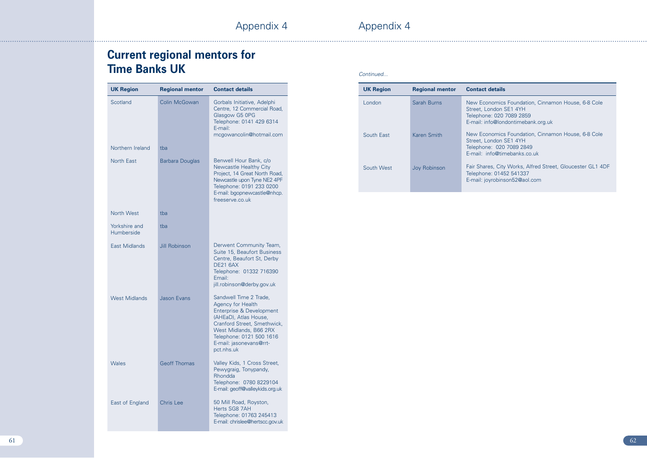Appendix 4

# **Current regional mentors for Time Banks UK**

Appendix 4

## etails

omics Foundation, Cinnamon House, 6-8 Cole ndon SE1 4YH Telephone: 020 7089 2859 o@londontimebank.org.uk

omics Foundation, Cinnamon House, 6-8 Cole ndon SE1 4YH 020 7089 2849 o@timebanks.co.uk

s, City Works, Alfred Street, Gloucester GL1 4DF Telephone: 01452 541337 robinson52@aol.com

| <b>UK Region</b>            | <b>Regional mentor</b> | <b>Contact details</b>                                                                                                                                                                                                         | <b>UK Region</b> | <b>Regional mentor</b> | <b>Contact de</b> |
|-----------------------------|------------------------|--------------------------------------------------------------------------------------------------------------------------------------------------------------------------------------------------------------------------------|------------------|------------------------|-------------------|
| Scotland                    | Colin McGowan          | Gorbals Initiative, Adelphi<br>Centre, 12 Commercial Road,<br>Glasgow G5 0PG<br>Telephone: 0141 429 6314<br>E-mail:                                                                                                            | London           | Sarah Burns            |                   |
| Northern Ireland            | tba                    | mcgowancolin@hotmail.com                                                                                                                                                                                                       | South East       | Karen Smith            |                   |
| North East                  | <b>Barbara Douglas</b> | Benwell Hour Bank, c/o<br>Newcastle Healthy City<br>Project, 14 Great North Road,<br>Newcastle upon Tyne NE2 4PF<br>Telephone: 0191 233 0200<br>E-mail: bgopnewcastle@nhcp.<br>freeserve.co.uk                                 | South West       | Joy Robinson           |                   |
| North West                  | tba                    |                                                                                                                                                                                                                                |                  |                        |                   |
| Yorkshire and<br>Humberside | tba                    |                                                                                                                                                                                                                                |                  |                        |                   |
| East Midlands               | Jill Robinson          | Derwent Community Team,<br>Suite 15, Beaufort Business<br>Centre, Beaufort St, Derby<br><b>DE21 6AX</b><br>Telephone: 01332 716390<br>Email:<br>jill.robinson@derby.gov.uk                                                     |                  |                        |                   |
| <b>West Midlands</b>        | Jason Evans            | Sandwell Time 2 Trade,<br>Agency for Health<br>Enterprise & Development<br>(AHEaD), Atlas House,<br>Cranford Street, Smethwick,<br>West Midlands, B66 2RX<br>Telephone: 0121 500 1616<br>E-mail: jasonevans@rrt-<br>pct.nhs.uk |                  |                        |                   |
| Wales                       | <b>Geoff Thomas</b>    | Valley Kids, 1 Cross Street,<br>Pewygraig, Tonypandy,<br>Rhondda<br>Telephone: 0780 8229104<br>E-mail: geoff@valleykids.org.uk                                                                                                 |                  |                        |                   |
| East of England             | <b>Chris Lee</b>       | 50 Mill Road, Royston,<br>Herts SG8 7AH<br>Telephone: 01763 245413<br>E-mail: chrislee@hertscc.gov.uk                                                                                                                          |                  |                        |                   |

| Continued |  |
|-----------|--|
|           |  |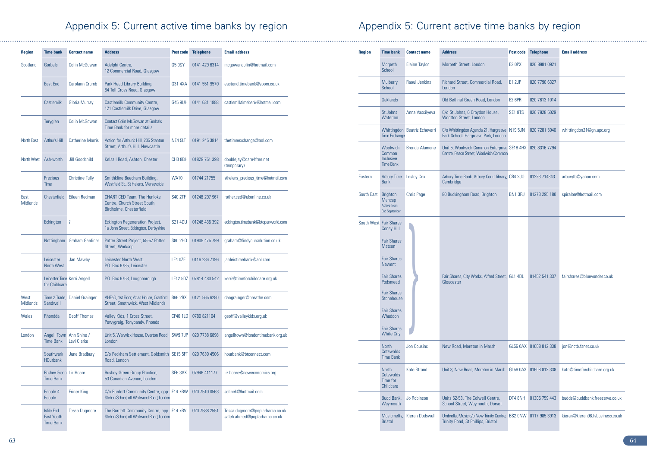# Appendix 5: Current active time banks by region

# Appendix 5: Current active time banks by region

| <b>Region</b>           | <b>Time bank</b>                                  | <b>Contact name</b>        | <b>Address</b>                                                                         | <b>Post code</b>    | <b>Telephone</b> | <b>Email address</b>                                             |
|-------------------------|---------------------------------------------------|----------------------------|----------------------------------------------------------------------------------------|---------------------|------------------|------------------------------------------------------------------|
| Scotland                | Gorbals                                           | Colin McGowan              | Adelphi Centre,<br>12 Commercial Road, Glasgow                                         | <b>G5 0SY</b>       | 0141 429 6314    | mcgowancolin@hotmail.com                                         |
|                         | <b>East End</b>                                   | Carolann Crumb             | Park Head Library Building,<br>64 Toll Cross Road, Glasgow                             | G31 4XA             | 0141 551 9570    | eastend.timebank@zoom.co.uk                                      |
|                         | Castlemilk                                        | Gloria Murray              | <b>Castlemilk Community Centre,</b><br>121 Castlemilk Drive, Glasgow                   | <b>G45 9UH</b>      | 0141 631 1888    | castlemilktimebank@hotmail.com                                   |
|                         | Toryglen                                          | Colin McGowan              | <b>Contact Colin McGowan at Gorbals</b><br>Time Bank for more details                  |                     |                  |                                                                  |
| <b>North East</b>       | Arthur's Hill                                     | <b>Catherine Morris</b>    | Action for Arthur's Hill, 235 Stanton<br>Street, Arthur's Hill, Newcastle              | NE4 5LT             | 0191 245 3814    | thetimeexchange@aol.com                                          |
| North West              | Ash-worth                                         | Jill Goodchild             | Kelsall Road, Ashton, Chester                                                          | CH <sub>3</sub> 8BH | 01829 751 398    | doublejay@care4free.net<br>(temporary)                           |
|                         | Precious<br>Time                                  | <b>Christine Tully</b>     | Smithkline Beecham Building,<br>Westfield St., St Helens, Merseyside                   | <b>WA10</b>         | 01744 21755      | sthelens_precious_time@hotmail.com                               |
| East<br><b>Midlands</b> | Chesterfield                                      | Eileen Redman              | CHART CED Team, The Hunloke<br>Centre, Church Street South,<br>Birdholme, Chesterfield | <b>S40 2TF</b>      | 01246 297 967    | rother.ced@ukonline.co.uk                                        |
|                         | Eckington                                         | ?                          | <b>Eckington Regeneration Project,</b><br>1a John Street, Eckington, Derbyshire        | <b>S21 4DU</b>      | 01246 436 392    | eckington.timebank@btopenworld.com                               |
|                         | Nottingham                                        | <b>Graham Gardiner</b>     | Potter Street Project, 55-57 Potter<br>Street, Worksop                                 | S80 2HQ             | 01909 475 799    | graham@findyoursolution.co.uk                                    |
|                         | Leicester<br>North West                           | Jan Mawby                  | Leicester North West,<br>P.O. Box 6785, Leicester                                      | LE4 0ZE             | 0116 236 7196    | janleictimebank@aol.com                                          |
|                         | Leicester Time Kerri Angell<br>for Childcare      |                            | P.O. Box 6758, Loughborough                                                            | LE12 5DZ            | 07814 480 542    | kerri@timeforchildcare.org.uk                                    |
| West<br><b>Midlands</b> | Time 2 Trade,<br>Sandwell                         | Daniel Grainger            | AHEaD, 1st Floor, Atlas House, Cranford<br>Street, Smethwick, West Midlands            | <b>B66 2RX</b>      | 0121 565 6280    | dangrainger@breathe.com                                          |
| Wales                   | Rhondda                                           | <b>Geoff Thomas</b>        | Valley Kids, 1 Cross Street,<br>Pewygraig, Tonypandy, Rhonda                           | <b>CF40 1LD</b>     | 0780 821104      | geoff@valleykids.org.uk                                          |
| London                  | <b>Angell Town</b><br><b>Time Bank</b>            | Ann Shine /<br>Levi Clarke | Unit 5, Warwick House, Overton Road,<br>London                                         | SW9 7JP             | 020 7738 6898    | angelltown@londontimebank.org.uk                                 |
|                         | Southwark<br><b>HOurbank</b>                      | June Bradbury              | C/o Peckham Settlement, Goldsmith SE15 5FT<br>Road, London                             |                     | 020 7639 4506    | hourbank@btconnect.com                                           |
|                         | Rushey Green Liz Hoare<br><b>Time Bank</b>        |                            | Rushey Green Group Practice,<br>53 Canadian Avenue, London                             | SE6 3AX             | 07946 411177     | liz.hoare@neweconomics.org                                       |
|                         | People 4<br>People                                | <b>Eriner King</b>         | C/o Burdett Community Centre, opp. E14 7BW<br>Stebon School, off Wallwood Road, London |                     | 020 7510 0563    | selinek@hotmail.com                                              |
|                         | Mile End<br><b>East Youth</b><br><b>Time Bank</b> | <b>Tessa Dugmore</b>       | The Burdett Community Centre, opp. E14 7BV<br>Stebon School, off Wallwood Road, London |                     | 020 7538 2551    | Tessa.dugmore@poplarharca.co.uk<br>saleh.ahmed@poplarharca.co.uk |

| <b>Region</b>          | <b>Time bank</b>                                                                                                                                                                                                                           | <b>Contact name</b>           | <b>Address</b>                                                                                     | Post code          | <b>Telephone</b> | <b>Email address</b>             |
|------------------------|--------------------------------------------------------------------------------------------------------------------------------------------------------------------------------------------------------------------------------------------|-------------------------------|----------------------------------------------------------------------------------------------------|--------------------|------------------|----------------------------------|
|                        | Morpeth<br>School                                                                                                                                                                                                                          | <b>Elaine Taylor</b>          | Morpeth Street, London                                                                             | E2 OPX             | 020 8981 0921    |                                  |
|                        | Mulberry<br>School                                                                                                                                                                                                                         | Raoul Jenkins                 | Richard Street, Commercial Road,<br>London                                                         | E1 2JP             | 020 7790 6327    |                                  |
|                        | <b>Oaklands</b>                                                                                                                                                                                                                            |                               | Old Bethnal Green Road, London                                                                     | E <sub>2</sub> 6PR | 020 7613 1014    |                                  |
|                        | St Johns<br>Waterloo                                                                                                                                                                                                                       | Anna Vassilyeva               | C/o St Johns, 6 Croydon House,<br>Wootton Street, London                                           | <b>SE1 8TS</b>     | 020 7928 5029    |                                  |
|                        | <b>Time Exchange</b>                                                                                                                                                                                                                       | Whittingdon Beatriz Echeverri | C/o Whittingdon Agenda 21, Hargreave N19 5JN<br>Park School, Hargreave Park, London                |                    | 020 7281 5940    | whittingdon21@gn.apc.org         |
|                        | Woolwich<br>Common<br>Inclusive<br><b>Time Bank</b>                                                                                                                                                                                        | <b>Brenda Alamene</b>         | Unit 5, Woolwich Common Enterprise SE18 4HX 020 8316 7794<br>Centre, Peace Street, Woolwich Common |                    |                  |                                  |
| Eastern                | <b>Arbury Time</b><br><b>Bank</b>                                                                                                                                                                                                          | <b>Lesley Cox</b>             | Arbury Time Bank, Arbury Court library, CB4 2JQ<br>Cambridge                                       |                    | 01223 714343     | arburytb@yahoo.com               |
| South East             | <b>Brighton</b><br>Mencap<br>Active from<br><b>End September</b>                                                                                                                                                                           | <b>Chris Page</b>             | 80 Buckingham Road, Brighton                                                                       | BN1 3RJ            | 01273 295 180    | spiralon@hotmail.com             |
| South West Fair Shares | <b>Coney Hill</b><br><b>Fair Shares</b><br>Matson<br><b>Fair Shares</b><br><b>Newent</b><br><b>Fair Shares</b><br>Podsmead<br><b>Fair Shares</b><br>Stonehouse<br><b>Fair Shares</b><br>Whaddon<br><b>Fair Shares</b><br><b>White City</b> |                               | Fair Shares, City Works, Alfred Street, GL1 4DL<br>Gloucester                                      |                    | 01452 541 337    | fairshares@blueyonder.co.uk      |
|                        | <b>North</b><br>Cotswolds<br><b>Time Bank</b>                                                                                                                                                                                              | Jon Cousins                   | New Road, Moreton in Marsh                                                                         | <b>GL56 0AX</b>    | 01608 812 338    | jon@nctb.fsnet.co.uk             |
|                        | <b>North</b><br>Cotswolds<br>Time for<br>Childcare                                                                                                                                                                                         | <b>Kate Strand</b>            | Unit 3, New Road, Moreton in Marsh                                                                 | GL56 0AX           | 01608 812 338    | kate@timeforchildcare.org.uk     |
|                        | Budd Bank,<br>Weymouth                                                                                                                                                                                                                     | Jo Robinson                   | Units 52-53, The Colwell Centre,<br>School Street, Weymouth, Dorset                                | DT4 8NH            | 01305 759 443    | budds@buddbank.freeserve.co.uk   |
|                        | Musicmelts,<br><b>Bristol</b>                                                                                                                                                                                                              | Kieran Dodswell               | Umbrella, Music c/o New Trinity Centre, BS2 0NW<br>Trinity Road, St Phillips, Bristol              |                    | 0117 985 3913    | kieran@kieran98.fsbusiness.co.uk |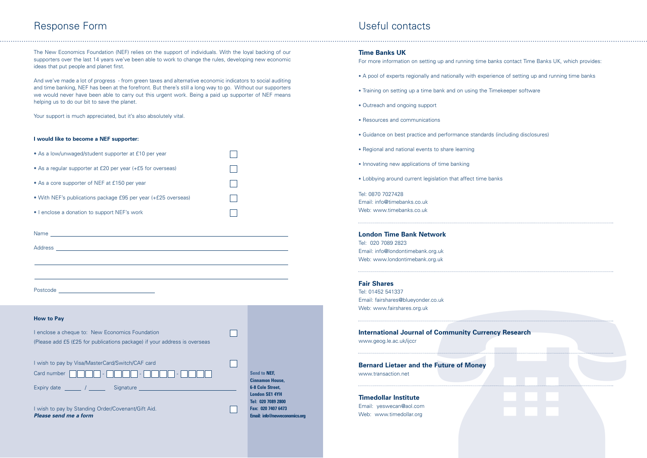## Useful contacts

## Response Form

The New Economics Foundation (NEF) relies on the support of individuals. With the loyal backing of our supporters over the last 14 years we've been able to work to change the rules, developing new economic ideas that put people and planet first.

And we've made a lot of progress - from green taxes and alternative economic indicators to social auditing and time banking, NEF has been at the forefront. But there's still a long way to go. Without our supporters we would never have been able to carry out this urgent work. Being a paid up supporter of NEF means helping us to do our bit to save the planet.

Your support is much appreciated, but it's also absolutely vital.

|                    | I wish to pay by Visa/MasterCard/Switch/CAF card |
|--------------------|--------------------------------------------------|
|                    |                                                  |
| <b>Expiry date</b> | Signature                                        |

## **I would like to become a NEF supporter:**

| • As a low/unwaged/student supporter at £10 per year           |  |
|----------------------------------------------------------------|--|
| • As a regular supporter at £20 per year (+£5 for overseas)    |  |
| • As a core supporter of NEF at £150 per year                  |  |
| • With NEF's publications package £95 per year (+£25 overseas) |  |
| • I enclose a donation to support NEF's work                   |  |
|                                                                |  |

| Name<br><u> 1989 - Johann Stein, mars an deus Amerikaansk kommunister (</u> |  |
|-----------------------------------------------------------------------------|--|
| Address                                                                     |  |
| <u> 1989 - Johann Barn, fransk politik amerikansk politik (</u>             |  |
|                                                                             |  |
|                                                                             |  |
|                                                                             |  |
| Postcode<br><u> Alexandria (m. 1888)</u>                                    |  |
|                                                                             |  |

- A pool of experts regionally and nationally with experience of
- Training on setting up a time bank and on using the Timekeeper software
- Outreach and ongoing support
- Resources and communications
- Guidance on best practice and performance standards (including disclosures)
- Regional and national events to share learning
- Innovating new applications of time banking
- Lobbying around current legislation that affect time banks

| <b>How to Pay</b> |  |  |
|-------------------|--|--|
|-------------------|--|--|

| I enclose a cheque to: New Economics Foundation                           |  |
|---------------------------------------------------------------------------|--|
| (Please add £5 (£25 for publications package) if your address is overseas |  |

| I wish to pay by Standing Order/Covenant/Gift Aid. |  |
|----------------------------------------------------|--|
| Please send me a form                              |  |

**Send to NEF, Cinnamon House, 6-8 Cole Street, London SE1 4YH Tel: 020 7089 2800 Fax: 020 7407 6473 Email: info@neweconomics.org**

 $\Box$ 

 $\mathbf{1}$ 

## **Time Banks UK**

For more information on setting up and running time

Tel: 0870 7027428 Email: info@timebanks.co.uk Web: www.timebanks.co.uk

## **London Time Bank Network**

Tel: 020 7089 2823 Email: info@londontimebank.org.uk Web: www.londontimebank.org.uk

## **Fair Shares**

Tel: 01452 541337 Email: fairshares@blueyonder.co.uk Web: www.fairshares.org.uk

| <b>International Journal of Community Curre</b> |  |
|-------------------------------------------------|--|
| www.geog.le.ac.uk/ijccr                         |  |

**Bernard Lietaer and the Future of Money**

www.transaction.net

**Timedollar Institute**

Email: yeswecan@aol.com Web: www.timedollar.org

| banks contact Time Banks UK, which provides: |
|----------------------------------------------|
| erience of setting up and running time banks |

. . . . . .

nder.co.uk<br>al of Community Currency Research<br>the Future of Money<br>and the Future of Money<br>and the Surface of Money<br>and the Surface of Money<br>and the Surface of Money<br>and the Surface of Money<br>and the Surface of Money<br>and the **Incy Research**